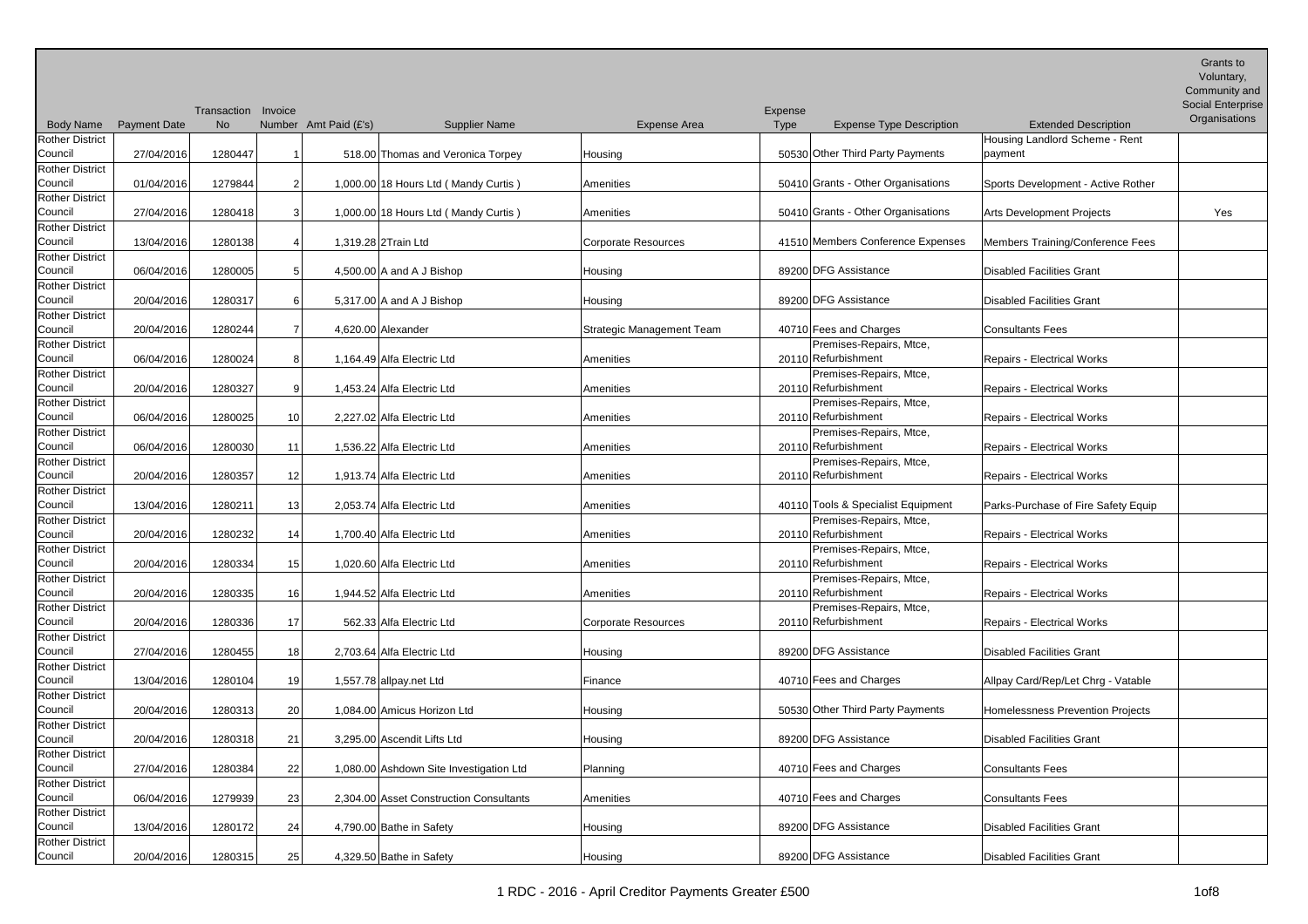| <b>Body Name</b>                  | <b>Payment Date</b> | Transaction Invoice<br><b>No</b> |    | Number Amt Paid (£'s)<br><b>Supplier Name</b> | Expense Area               | Expense<br>Type | <b>Expense Type Description</b>                | <b>Extended Description</b>         | <b>Grants to</b><br>Voluntary,<br>Community and<br><b>Social Enterprise</b><br>Organisations |
|-----------------------------------|---------------------|----------------------------------|----|-----------------------------------------------|----------------------------|-----------------|------------------------------------------------|-------------------------------------|----------------------------------------------------------------------------------------------|
| <b>Rother District</b>            |                     |                                  |    |                                               |                            |                 |                                                | Housing Landlord Scheme - Rent      |                                                                                              |
| Council<br><b>Rother District</b> | 27/04/2016          | 1280447                          |    | 518.00 Thomas and Veronica Torpey             | Housing                    |                 | 50530 Other Third Party Payments               | payment                             |                                                                                              |
| Council                           | 01/04/2016          | 1279844                          |    | 1,000.00 18 Hours Ltd (Mandy Curtis)          | Amenities                  |                 | 50410 Grants - Other Organisations             | Sports Development - Active Rother  |                                                                                              |
| <b>Rother District</b>            |                     |                                  |    |                                               |                            |                 |                                                |                                     |                                                                                              |
| Council                           | 27/04/2016          | 1280418                          |    | 1,000.00 18 Hours Ltd (Mandy Curtis)          | Amenities                  |                 | 50410 Grants - Other Organisations             | <b>Arts Development Projects</b>    | Yes                                                                                          |
| <b>Rother District</b>            |                     |                                  |    |                                               |                            |                 |                                                |                                     |                                                                                              |
| Council                           | 13/04/2016          | 1280138                          |    | 1,319.28 2Train Ltd                           | <b>Corporate Resources</b> |                 | 41510 Members Conference Expenses              | Members Training/Conference Fees    |                                                                                              |
| Rother District                   |                     |                                  |    |                                               |                            |                 |                                                |                                     |                                                                                              |
| Council                           | 06/04/2016          | 1280005                          |    | 4,500.00 A and A J Bishop                     | Housing                    |                 | 89200 DFG Assistance                           | <b>Disabled Facilities Grant</b>    |                                                                                              |
| Rother District                   |                     |                                  |    |                                               |                            |                 |                                                |                                     |                                                                                              |
| Council                           | 20/04/2016          | 1280317                          |    | 5,317.00 A and A J Bishop                     | Housing                    |                 | 89200 DFG Assistance                           | <b>Disabled Facilities Grant</b>    |                                                                                              |
| <b>Rother District</b>            |                     |                                  |    |                                               |                            |                 |                                                |                                     |                                                                                              |
| Council                           | 20/04/2016          | 1280244                          |    | 4,620.00 Alexander                            | Strategic Management Team  |                 | 40710 Fees and Charges                         | <b>Consultants Fees</b>             |                                                                                              |
| <b>Rother District</b>            |                     |                                  |    |                                               |                            |                 | Premises-Repairs, Mtce,                        |                                     |                                                                                              |
| Council                           | 06/04/2016          | 1280024                          |    | 1,164.49 Alfa Electric Ltd                    | Amenities                  |                 | 20110 Refurbishment                            | <b>Repairs - Electrical Works</b>   |                                                                                              |
| Rother District<br>Council        | 20/04/2016          | 1280327                          |    | 1,453.24 Alfa Electric Ltd                    | Amenities                  |                 | Premises-Repairs, Mtce,<br>20110 Refurbishment | <b>Repairs - Electrical Works</b>   |                                                                                              |
| <b>Rother District</b>            |                     |                                  |    |                                               |                            |                 | Premises-Repairs, Mtce,                        |                                     |                                                                                              |
| Council                           | 06/04/2016          | 1280025                          | 10 | 2,227.02 Alfa Electric Ltd                    | Amenities                  |                 | 20110 Refurbishment                            | <b>Repairs - Electrical Works</b>   |                                                                                              |
| <b>Rother District</b>            |                     |                                  |    |                                               |                            |                 | Premises-Repairs, Mtce,                        |                                     |                                                                                              |
| Council                           | 06/04/2016          | 1280030                          | 11 | 1,536.22 Alfa Electric Ltd                    | Amenities                  |                 | 20110 Refurbishment                            | <b>Repairs - Electrical Works</b>   |                                                                                              |
| <b>Rother District</b>            |                     |                                  |    |                                               |                            |                 | Premises-Repairs, Mtce,                        |                                     |                                                                                              |
| Council                           | 20/04/2016          | 1280357                          | 12 | 1,913.74 Alfa Electric Ltd                    | Amenities                  |                 | 20110 Refurbishment                            | <b>Repairs - Electrical Works</b>   |                                                                                              |
| <b>Rother District</b>            |                     |                                  |    |                                               |                            |                 |                                                |                                     |                                                                                              |
| Council                           | 13/04/2016          | 1280211                          | 13 | 2,053.74 Alfa Electric Ltd                    | Amenities                  |                 | 40110 Tools & Specialist Equipment             | Parks-Purchase of Fire Safety Equip |                                                                                              |
| <b>Rother District</b>            |                     |                                  |    |                                               |                            |                 | Premises-Repairs, Mtce,                        |                                     |                                                                                              |
| Council                           | 20/04/2016          | 1280232                          | 14 | 1,700.40 Alfa Electric Ltd                    | Amenities                  |                 | 20110 Refurbishment                            | Repairs - Electrical Works          |                                                                                              |
| <b>Rother District</b>            |                     |                                  |    |                                               |                            |                 | Premises-Repairs, Mtce,                        |                                     |                                                                                              |
| Council                           | 20/04/2016          | 1280334                          | 15 | 1,020.60 Alfa Electric Ltd                    | Amenities                  |                 | 20110 Refurbishment                            | Repairs - Electrical Works          |                                                                                              |
| <b>Rother District</b>            |                     |                                  |    |                                               |                            |                 | Premises-Repairs, Mtce,                        |                                     |                                                                                              |
| Council                           | 20/04/2016          | 1280335                          | 16 | 1,944.52 Alfa Electric Ltd                    | Amenities                  |                 | 20110 Refurbishment                            | Repairs - Electrical Works          |                                                                                              |
| Rother District                   |                     |                                  |    |                                               |                            |                 | Premises-Repairs, Mtce,                        |                                     |                                                                                              |
| Council                           | 20/04/2016          | 1280336                          | 17 | 562.33 Alfa Electric Ltd                      | <b>Corporate Resources</b> |                 | 20110 Refurbishment                            | <b>Repairs - Electrical Works</b>   |                                                                                              |
| <b>Rother District</b><br>Council |                     |                                  |    |                                               |                            |                 | 89200 DFG Assistance                           |                                     |                                                                                              |
| <b>Rother District</b>            | 27/04/2016          | 1280455                          | 18 | 2,703.64 Alfa Electric Ltd                    | Housing                    |                 |                                                | <b>Disabled Facilities Grant</b>    |                                                                                              |
| Council                           | 13/04/2016          | 1280104                          | 19 | 1,557.78 allpay.net Ltd                       | Finance                    |                 | 40710 Fees and Charges                         | Allpay Card/Rep/Let Chrg - Vatable  |                                                                                              |
| <b>Rother District</b>            |                     |                                  |    |                                               |                            |                 |                                                |                                     |                                                                                              |
| Council                           | 20/04/2016          | 1280313                          | 20 | 1,084.00 Amicus Horizon Ltd                   | Housing                    |                 | 50530 Other Third Party Payments               | Homelessness Prevention Projects    |                                                                                              |
| <b>Rother District</b>            |                     |                                  |    |                                               |                            |                 |                                                |                                     |                                                                                              |
| Council                           | 20/04/2016          | 1280318                          | 21 | 3,295.00 Ascendit Lifts Ltd                   | Housing                    |                 | 89200 DFG Assistance                           | <b>Disabled Facilities Grant</b>    |                                                                                              |
| <b>Rother District</b>            |                     |                                  |    |                                               |                            |                 |                                                |                                     |                                                                                              |
| Council                           | 27/04/2016          | 1280384                          | 22 | 1,080.00 Ashdown Site Investigation Ltd       | Planning                   |                 | 40710 Fees and Charges                         | <b>Consultants Fees</b>             |                                                                                              |
| <b>Rother District</b>            |                     |                                  |    |                                               |                            |                 |                                                |                                     |                                                                                              |
| Council                           | 06/04/2016          | 1279939                          | 23 | 2,304.00 Asset Construction Consultants       | Amenities                  |                 | 40710 Fees and Charges                         | <b>Consultants Fees</b>             |                                                                                              |
| Rother District                   |                     |                                  |    |                                               |                            |                 |                                                |                                     |                                                                                              |
| Council                           | 13/04/2016          | 1280172                          | 24 | 4,790.00 Bathe in Safety                      | Housing                    |                 | 89200 DFG Assistance                           | <b>Disabled Facilities Grant</b>    |                                                                                              |
| Rother District                   |                     |                                  |    |                                               |                            |                 |                                                |                                     |                                                                                              |
| Council                           | 20/04/2016          | 1280315                          | 25 | 4,329.50 Bathe in Safety                      | Housing                    |                 | 89200 DFG Assistance                           | <b>Disabled Facilities Grant</b>    |                                                                                              |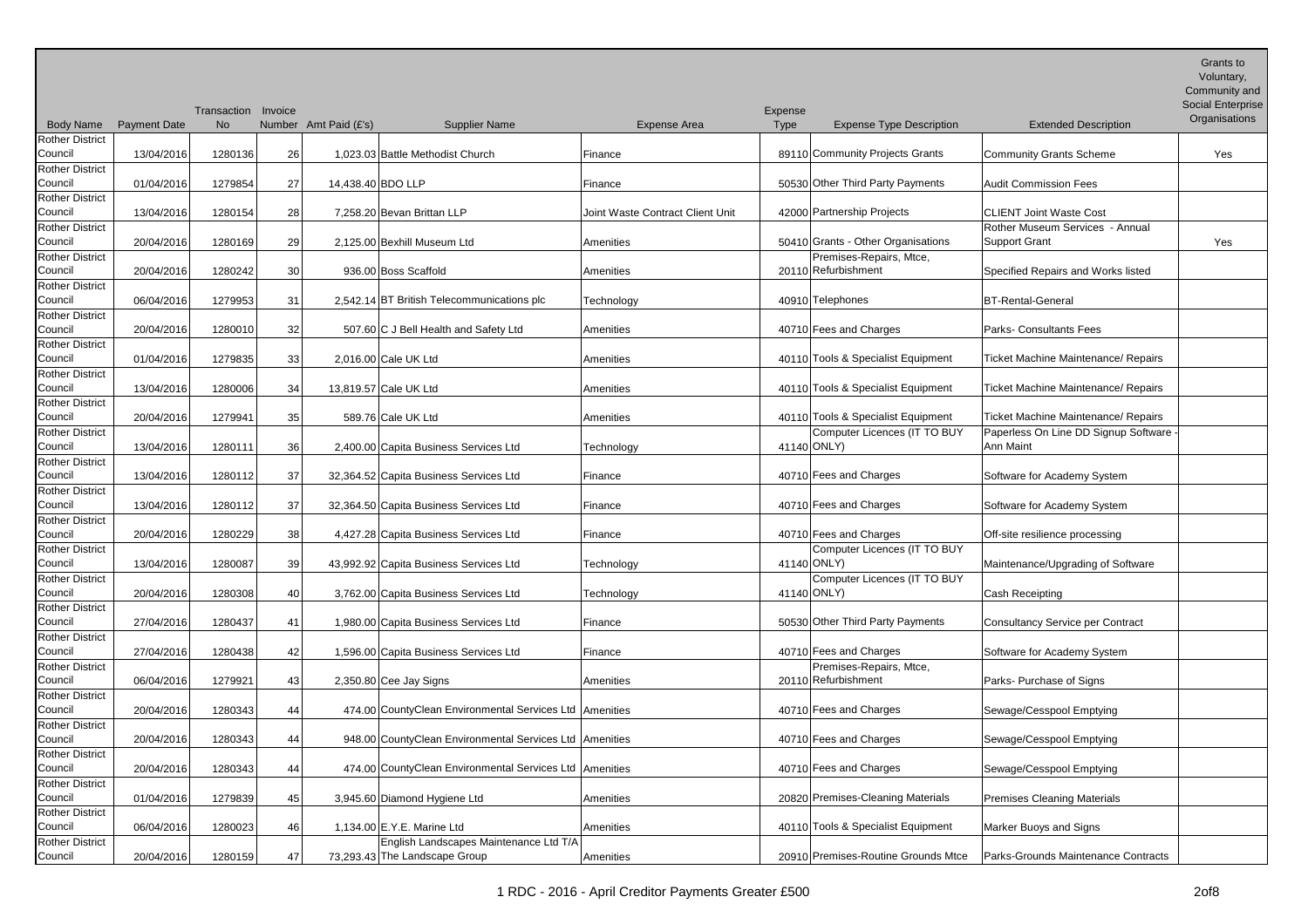|                                   |                     |                                  |                 |                       |                                                         |                                  |                 |                                                |                                            | Grants to<br>Voluntary,<br>Community and |
|-----------------------------------|---------------------|----------------------------------|-----------------|-----------------------|---------------------------------------------------------|----------------------------------|-----------------|------------------------------------------------|--------------------------------------------|------------------------------------------|
|                                   |                     |                                  |                 |                       |                                                         |                                  |                 |                                                |                                            | Social Enterprise                        |
| <b>Body Name</b>                  | <b>Payment Date</b> | Transaction Invoice<br><b>No</b> |                 | Number Amt Paid (£'s) | <b>Supplier Name</b>                                    | Expense Area                     | Expense<br>Type | <b>Expense Type Description</b>                | <b>Extended Description</b>                | Organisations                            |
| <b>Rother District</b>            |                     |                                  |                 |                       |                                                         |                                  |                 |                                                |                                            |                                          |
| Council                           | 13/04/2016          | 1280136                          | 26              |                       | 1.023.03 Battle Methodist Church                        | Finance                          |                 | 89110 Community Projects Grants                | Community Grants Scheme                    | Yes                                      |
| <b>Rother District</b><br>Council | 01/04/2016          | 1279854                          | 27              |                       | 14,438.40 BDO LLP                                       | Finance                          |                 | 50530 Other Third Party Payments               | <b>Audit Commission Fees</b>               |                                          |
| <b>Rother District</b><br>Council | 13/04/2016          | 1280154                          | 28              |                       | 7.258.20 Bevan Brittan LLP                              | Joint Waste Contract Client Unit |                 | 42000 Partnership Projects                     | <b>CLIENT Joint Waste Cost</b>             |                                          |
| <b>Rother District</b>            |                     |                                  |                 |                       |                                                         |                                  |                 |                                                | Rother Museum Services - Annual            |                                          |
| Council                           | 20/04/2016          | 1280169                          | 29              |                       | 2,125.00 Bexhill Museum Ltd                             | Amenities                        |                 | 50410 Grants - Other Organisations             | Support Grant                              | Yes                                      |
| Rother District<br>Council        | 20/04/2016          | 1280242                          | 30 <sup>1</sup> |                       | 936.00 Boss Scaffold                                    | Amenities                        |                 | Premises-Repairs, Mtce,<br>20110 Refurbishment | Specified Repairs and Works listed         |                                          |
| Rother District                   |                     |                                  |                 |                       |                                                         |                                  |                 |                                                |                                            |                                          |
| Council                           | 06/04/2016          | 1279953                          | 31              |                       | 2,542.14 BT British Telecommunications plc              | Technology                       |                 | 40910 Telephones                               | <b>BT-Rental-General</b>                   |                                          |
| <b>Rother District</b><br>Council | 20/04/2016          | 1280010                          | 32              |                       | 507.60 C J Bell Health and Safety Ltd                   | Amenities                        |                 | 40710 Fees and Charges                         | <b>Parks- Consultants Fees</b>             |                                          |
| <b>Rother District</b>            |                     |                                  |                 |                       |                                                         |                                  |                 |                                                |                                            |                                          |
| Council                           | 01/04/2016          | 1279835                          | 33              |                       | 2,016.00 Cale UK Ltd                                    | Amenities                        |                 | 40110 Tools & Specialist Equipment             | Ticket Machine Maintenance/ Repairs        |                                          |
| Rother District<br>Council        | 13/04/2016          | 1280006                          | 34              |                       | 13,819.57 Cale UK Ltd                                   | Amenities                        |                 | 40110 Tools & Specialist Equipment             | <b>Ticket Machine Maintenance/ Repairs</b> |                                          |
| <b>Rother District</b>            |                     |                                  |                 |                       |                                                         |                                  |                 |                                                |                                            |                                          |
| Council                           | 20/04/2016          | 1279941                          | 35              |                       | 589.76 Cale UK Ltd                                      | Amenities                        |                 | 40110 Tools & Specialist Equipment             | Ticket Machine Maintenance/ Repairs        |                                          |
| <b>Rother District</b>            |                     |                                  |                 |                       |                                                         |                                  |                 | Computer Licences (IT TO BUY                   | Paperless On Line DD Signup Software -     |                                          |
| Council                           | 13/04/2016          | 1280111                          | 36              |                       | 2,400.00 Capita Business Services Ltd                   | Technology                       |                 | 41140 ONLY)                                    | <b>Ann Maint</b>                           |                                          |
| <b>Rother District</b>            |                     |                                  |                 |                       |                                                         |                                  |                 |                                                |                                            |                                          |
| Council<br><b>Rother District</b> | 13/04/2016          | 1280112                          | 37              |                       | 32,364.52 Capita Business Services Ltd                  | Finance                          |                 | 40710 Fees and Charges                         | Software for Academy System                |                                          |
| Council                           | 13/04/2016          | 1280112                          | 37              |                       | 32,364.50 Capita Business Services Ltd                  | Finance                          |                 | 40710 Fees and Charges                         | Software for Academy System                |                                          |
| <b>Rother District</b>            |                     |                                  |                 |                       |                                                         |                                  |                 |                                                |                                            |                                          |
| Council                           | 20/04/2016          | 1280229                          | 38              |                       | 4,427.28 Capita Business Services Ltd                   | Finance                          |                 | 40710 Fees and Charges                         | Off-site resilience processing             |                                          |
| <b>Rother District</b>            |                     |                                  |                 |                       |                                                         |                                  |                 | Computer Licences (IT TO BUY                   |                                            |                                          |
| Council                           | 13/04/2016          | 1280087                          | 39              |                       | 43,992.92 Capita Business Services Ltd                  | Technology                       |                 | 41140 ONLY)                                    | Maintenance/Upgrading of Software          |                                          |
| <b>Rother District</b><br>Council | 20/04/2016          | 1280308                          | 40              |                       | 3,762.00 Capita Business Services Ltd                   | Technology                       |                 | Computer Licences (IT TO BUY<br>41140 ONLY)    | Cash Receipting                            |                                          |
| Rother District                   |                     |                                  |                 |                       |                                                         |                                  |                 |                                                |                                            |                                          |
| Council                           | 27/04/2016          | 1280437                          | 41              |                       | 1,980.00 Capita Business Services Ltd                   | Finance                          |                 | 50530 Other Third Party Payments               | Consultancy Service per Contract           |                                          |
| <b>Rother District</b>            |                     |                                  |                 |                       |                                                         |                                  |                 |                                                |                                            |                                          |
| Council                           | 27/04/2016          | 1280438                          | 42              |                       | 1,596.00 Capita Business Services Ltd                   | Finance                          |                 | 40710 Fees and Charges                         | Software for Academy System                |                                          |
| <b>Rother District</b><br>Council | 06/04/2016          | 1279921                          | 43              |                       | 2,350.80 Cee Jay Signs                                  | Amenities                        |                 | Premises-Repairs, Mtce,<br>20110 Refurbishment | Parks- Purchase of Signs                   |                                          |
| <b>Rother District</b>            |                     |                                  |                 |                       |                                                         |                                  |                 |                                                |                                            |                                          |
| Council                           | 20/04/2016          | 1280343                          | 44              |                       | 474.00 CountyClean Environmental Services Ltd Amenities |                                  |                 | 40710 Fees and Charges                         | Sewage/Cesspool Emptying                   |                                          |
| <b>Rother District</b>            |                     |                                  |                 |                       |                                                         |                                  |                 |                                                |                                            |                                          |
| Council                           | 20/04/2016          | 1280343                          | 44              |                       | 948.00 CountyClean Environmental Services Ltd Amenities |                                  |                 | 40710 Fees and Charges                         | Sewage/Cesspool Emptying                   |                                          |
| Rother District<br>Council        |                     |                                  |                 |                       | 474.00 CountyClean Environmental Services Ltd Amenities |                                  |                 | 40710 Fees and Charges                         |                                            |                                          |
| <b>Rother District</b>            | 20/04/2016          | 1280343                          | 44              |                       |                                                         |                                  |                 |                                                | Sewage/Cesspool Emptying                   |                                          |
| Council                           | 01/04/2016          | 1279839                          | 45              |                       | 3,945.60 Diamond Hygiene Ltd                            | Amenities                        |                 | 20820 Premises-Cleaning Materials              | <b>Premises Cleaning Materials</b>         |                                          |
| <b>Rother District</b>            |                     |                                  |                 |                       |                                                         |                                  |                 |                                                |                                            |                                          |
| Council                           | 06/04/2016          | 1280023                          | 46              |                       | 1,134.00 E.Y.E. Marine Ltd                              | Amenities                        |                 | 40110 Tools & Specialist Equipment             | Marker Buoys and Signs                     |                                          |
| <b>Rother District</b>            |                     |                                  |                 |                       | English Landscapes Maintenance Ltd T/A                  |                                  |                 |                                                |                                            |                                          |
| Council                           | 20/04/2016          | 1280159                          | 47              |                       | 73,293.43 The Landscape Group                           | Amenities                        |                 | 20910 Premises-Routine Grounds Mtce            | Parks-Grounds Maintenance Contracts        |                                          |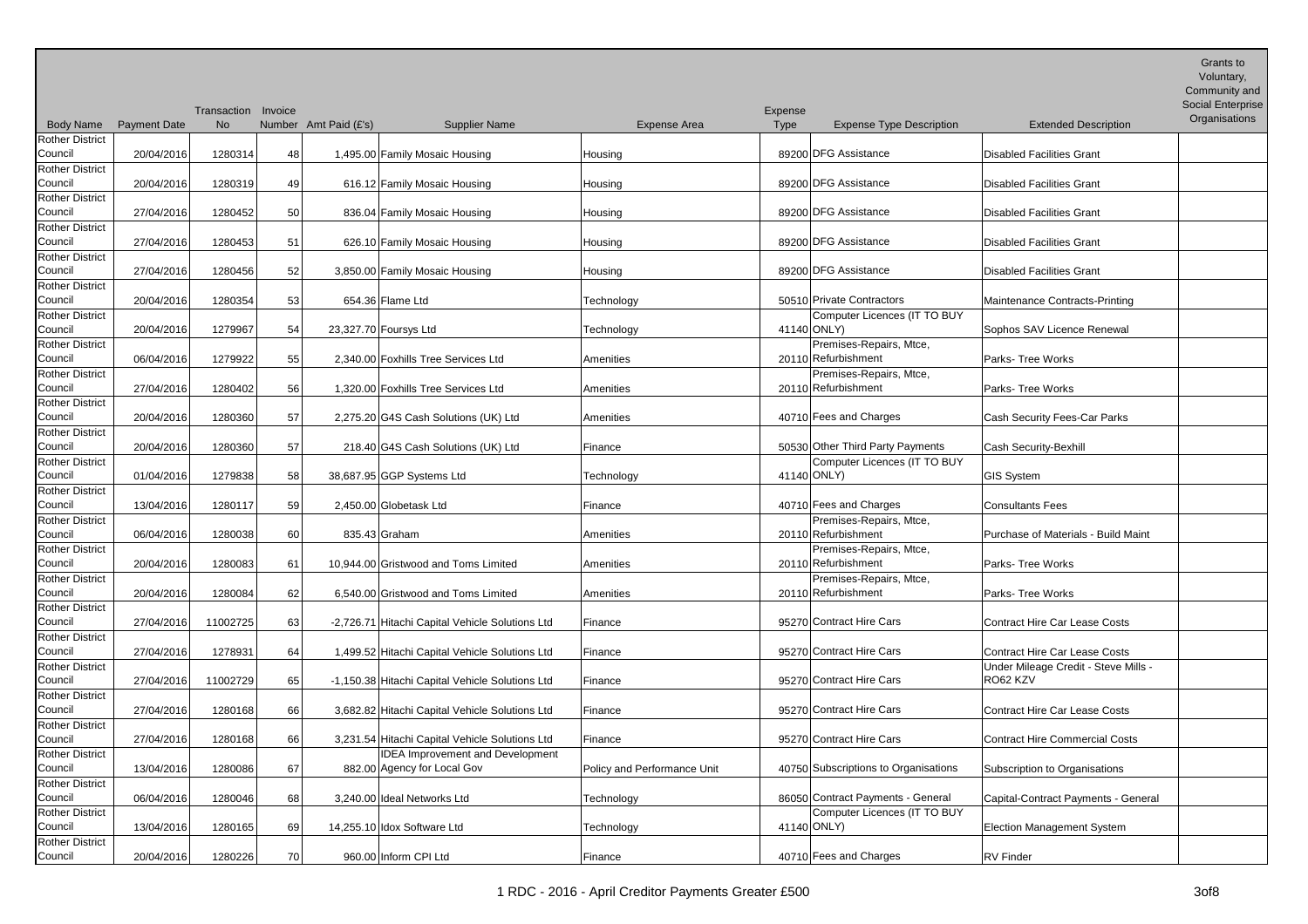| <b>Body Name</b>                  | <b>Payment Date</b> | Transaction Invoice<br><b>No</b> |    | Number Amt Paid (£'s)<br><b>Supplier Name</b>   | Expense Area                | Expense<br>Type | <b>Expense Type Description</b>                | <b>Extended Description</b>          | Grants to<br>Voluntary,<br>Community and<br>Social Enterprise<br>Organisations |
|-----------------------------------|---------------------|----------------------------------|----|-------------------------------------------------|-----------------------------|-----------------|------------------------------------------------|--------------------------------------|--------------------------------------------------------------------------------|
| <b>Rother District</b>            |                     |                                  |    |                                                 |                             |                 |                                                |                                      |                                                                                |
| Council                           | 20/04/2016          | 1280314                          | 48 | 1,495.00 Family Mosaic Housing                  | Housing                     |                 | 89200 DFG Assistance                           | Disabled Facilities Grant            |                                                                                |
| Rother District                   |                     |                                  |    |                                                 |                             |                 |                                                |                                      |                                                                                |
| Council                           | 20/04/2016          | 1280319                          | 49 | 616.12 Family Mosaic Housing                    | Housing                     |                 | 89200 DFG Assistance                           | Disabled Facilities Grant            |                                                                                |
| <b>Rother District</b>            |                     |                                  |    |                                                 |                             |                 |                                                |                                      |                                                                                |
| Council                           | 27/04/2016          | 1280452                          | 50 | 836.04 Family Mosaic Housing                    | Housing                     |                 | 89200 DFG Assistance                           | Disabled Facilities Grant            |                                                                                |
| <b>Rother District</b>            |                     |                                  |    |                                                 |                             |                 |                                                |                                      |                                                                                |
| Council                           | 27/04/2016          | 1280453                          | 51 | 626.10 Family Mosaic Housing                    | Housing                     |                 | 89200 DFG Assistance                           | Disabled Facilities Grant            |                                                                                |
| Rother District                   |                     |                                  |    |                                                 |                             |                 |                                                |                                      |                                                                                |
| Council                           | 27/04/2016          | 1280456                          | 52 | 3,850.00 Family Mosaic Housing                  | Housing                     |                 | 89200 DFG Assistance                           | Disabled Facilities Grant            |                                                                                |
| <b>Rother District</b>            |                     |                                  |    |                                                 |                             |                 |                                                |                                      |                                                                                |
| Council                           | 20/04/2016          | 1280354                          | 53 | 654.36 Flame Ltd                                | Technology                  |                 | 50510 Private Contractors                      | Maintenance Contracts-Printing       |                                                                                |
| <b>Rother District</b>            |                     |                                  |    |                                                 |                             |                 | Computer Licences (IT TO BUY                   |                                      |                                                                                |
| Council                           | 20/04/2016          | 1279967                          | 54 | 23,327.70 Foursys Ltd                           | Technology                  |                 | 41140 ONLY)                                    | Sophos SAV Licence Renewal           |                                                                                |
| <b>Rother District</b><br>Council |                     |                                  |    | 2.340.00 Foxhills Tree Services Ltd             |                             |                 | Premises-Repairs, Mtce,<br>20110 Refurbishment |                                      |                                                                                |
| <b>Rother District</b>            | 06/04/2016          | 1279922                          | 55 |                                                 | Amenities                   |                 | Premises-Repairs, Mtce,                        | Parks- Tree Works                    |                                                                                |
| Council                           | 27/04/2016          | 1280402                          | 56 | 1,320.00 Foxhills Tree Services Ltd             | Amenities                   |                 | 20110 Refurbishment                            | Parks- Tree Works                    |                                                                                |
| <b>Rother District</b>            |                     |                                  |    |                                                 |                             |                 |                                                |                                      |                                                                                |
| Council                           | 20/04/2016          | 1280360                          | 57 | 2,275.20 G4S Cash Solutions (UK) Ltd            | Amenities                   |                 | 40710 Fees and Charges                         | Cash Security Fees-Car Parks         |                                                                                |
| <b>Rother District</b>            |                     |                                  |    |                                                 |                             |                 |                                                |                                      |                                                                                |
| Council                           | 20/04/2016          | 1280360                          | 57 | 218.40 G4S Cash Solutions (UK) Ltd              | Finance                     |                 | 50530 Other Third Party Payments               | Cash Security-Bexhill                |                                                                                |
| <b>Rother District</b>            |                     |                                  |    |                                                 |                             |                 | Computer Licences (IT TO BUY                   |                                      |                                                                                |
| Council                           | 01/04/2016          | 1279838                          | 58 | 38,687.95 GGP Systems Ltd                       | Technology                  |                 | 41140 ONLY)                                    | GIS System                           |                                                                                |
| <b>Rother District</b>            |                     |                                  |    |                                                 |                             |                 |                                                |                                      |                                                                                |
| Council                           | 13/04/2016          | 1280117                          | 59 | 2,450.00 Globetask Ltd                          | Finance                     |                 | 40710 Fees and Charges                         | <b>Consultants Fees</b>              |                                                                                |
| <b>Rother District</b>            |                     |                                  |    |                                                 |                             |                 | Premises-Repairs, Mtce,                        |                                      |                                                                                |
| Council                           | 06/04/2016          | 1280038                          | 60 | 835.43 Graham                                   | Amenities                   |                 | 20110 Refurbishment                            | Purchase of Materials - Build Maint  |                                                                                |
| <b>Rother District</b>            |                     |                                  |    |                                                 |                             |                 | Premises-Repairs, Mtce,                        |                                      |                                                                                |
| Council                           | 20/04/2016          | 1280083                          | 61 | 10,944.00 Gristwood and Toms Limited            | Amenities                   |                 | 20110 Refurbishment                            | Parks- Tree Works                    |                                                                                |
| Rother District                   |                     |                                  |    |                                                 |                             |                 | Premises-Repairs, Mtce,                        |                                      |                                                                                |
| Council                           | 20/04/2016          | 1280084                          | 62 | 6,540.00 Gristwood and Toms Limited             | Amenities                   |                 | 20110 Refurbishment                            | Parks- Tree Works                    |                                                                                |
| <b>Rother District</b>            |                     |                                  |    |                                                 |                             |                 |                                                |                                      |                                                                                |
| Council                           | 27/04/2016          | 11002725                         | 63 | -2,726.71 Hitachi Capital Vehicle Solutions Ltd | Finance                     |                 | 95270 Contract Hire Cars                       | <b>Contract Hire Car Lease Costs</b> |                                                                                |
| Rother District                   |                     |                                  |    |                                                 |                             |                 |                                                |                                      |                                                                                |
| Council                           | 27/04/2016          | 1278931                          | 64 | 1,499.52 Hitachi Capital Vehicle Solutions Ltd  | Finance                     |                 | 95270 Contract Hire Cars                       | Contract Hire Car Lease Costs        |                                                                                |
| <b>Rother District</b>            |                     |                                  |    |                                                 |                             |                 |                                                | Under Mileage Credit - Steve Mills - |                                                                                |
| Council                           | 27/04/2016          | 11002729                         | 65 | -1,150.38 Hitachi Capital Vehicle Solutions Ltd | Finance                     |                 | 95270 Contract Hire Cars                       | RO62 KZV                             |                                                                                |
| Rother District<br>Council        |                     | 1280168                          | 66 | 3,682.82 Hitachi Capital Vehicle Solutions Ltd  |                             |                 | 95270 Contract Hire Cars                       | Contract Hire Car Lease Costs        |                                                                                |
| <b>Rother District</b>            | 27/04/2016          |                                  |    |                                                 | Finance                     |                 |                                                |                                      |                                                                                |
| Council                           | 27/04/2016          | 1280168                          | 66 | 3,231.54 Hitachi Capital Vehicle Solutions Ltd  | Finance                     |                 | 95270 Contract Hire Cars                       | Contract Hire Commercial Costs       |                                                                                |
| Rother District                   |                     |                                  |    | <b>IDEA Improvement and Development</b>         |                             |                 |                                                |                                      |                                                                                |
| Council                           | 13/04/2016          | 1280086                          | 67 | 882.00 Agency for Local Gov                     | Policy and Performance Unit |                 | 40750 Subscriptions to Organisations           | Subscription to Organisations        |                                                                                |
| Rother District                   |                     |                                  |    |                                                 |                             |                 |                                                |                                      |                                                                                |
| Council                           | 06/04/2016          | 1280046                          | 68 | 3,240.00 Ideal Networks Ltd                     | Technology                  |                 | 86050 Contract Payments - General              | Capital-Contract Payments - General  |                                                                                |
| Rother District                   |                     |                                  |    |                                                 |                             |                 | Computer Licences (IT TO BUY                   |                                      |                                                                                |
| Council                           | 13/04/2016          | 1280165                          | 69 | 14,255.10 Idox Software Ltd                     | Technology                  |                 | 41140 ONLY)                                    | Election Management System           |                                                                                |
| Rother District                   |                     |                                  |    |                                                 |                             |                 |                                                |                                      |                                                                                |
| Council                           | 20/04/2016          | 1280226                          | 70 | 960.00 Inform CPI Ltd                           | Finance                     |                 | 40710 Fees and Charges                         | <b>RV</b> Finder                     |                                                                                |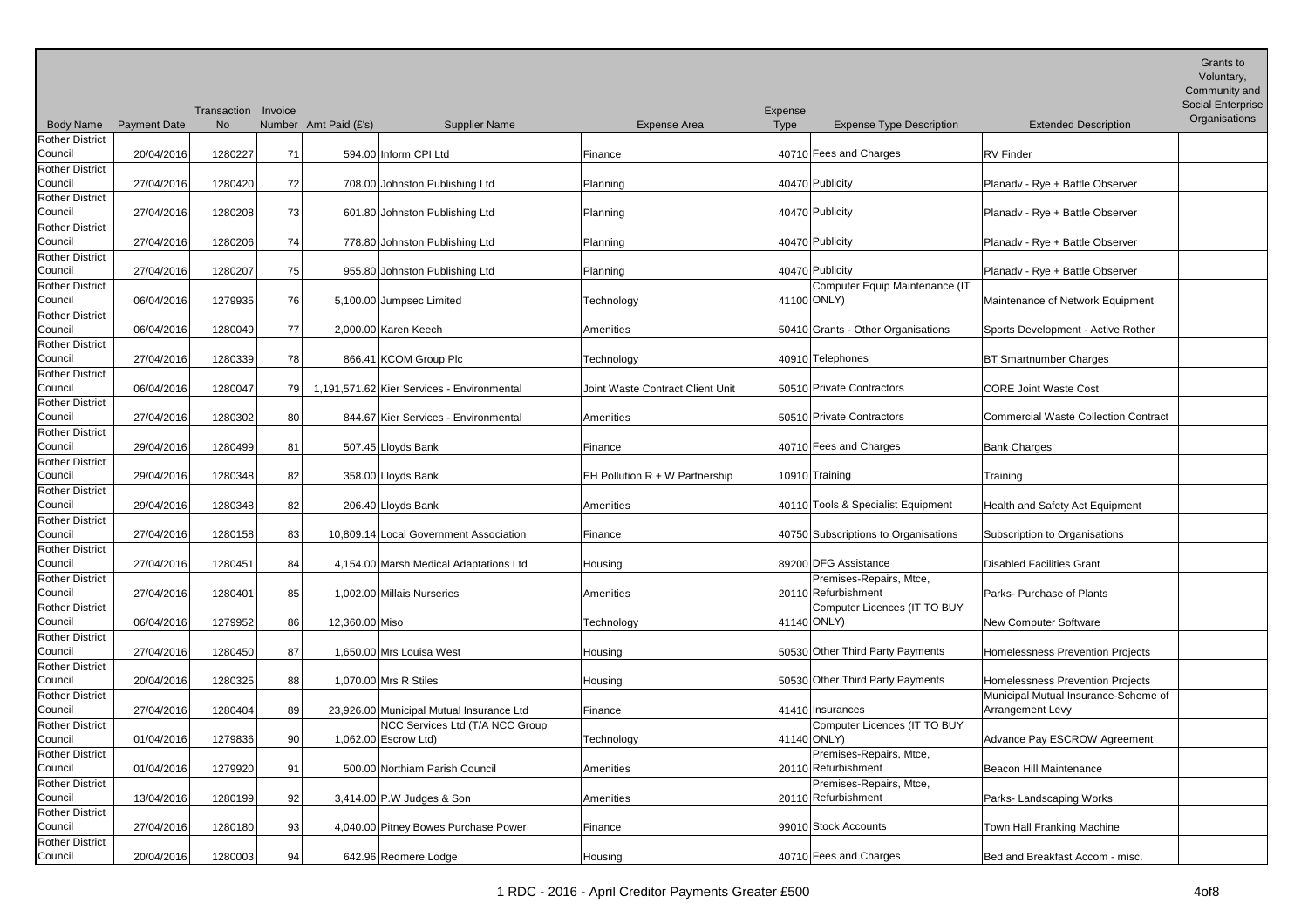| <b>Body Name</b>       | <b>Payment Date</b> | Transaction Invoice<br><b>No</b> |     | Number Amt Paid (£'s) | <b>Supplier Name</b>                       | Expense Area                     | Expense<br>Type | <b>Expense Type Description</b>      | <b>Extended Description</b>          | Grants to<br>Voluntary,<br>Community and<br>Social Enterprise<br>Organisations |
|------------------------|---------------------|----------------------------------|-----|-----------------------|--------------------------------------------|----------------------------------|-----------------|--------------------------------------|--------------------------------------|--------------------------------------------------------------------------------|
| <b>Rother District</b> |                     |                                  |     |                       |                                            |                                  |                 |                                      |                                      |                                                                                |
| Council                | 20/04/2016          | 1280227                          | 71  |                       | 594.00 Inform CPI Ltd                      | Finance                          |                 | 40710 Fees and Charges               | <b>RV</b> Finder                     |                                                                                |
| <b>Rother District</b> |                     |                                  |     |                       |                                            |                                  |                 |                                      |                                      |                                                                                |
| Council                | 27/04/2016          | 1280420                          | 72  |                       | 708.00 Johnston Publishing Ltd             | Planning                         |                 | 40470 Publicity                      | Planadv - Rye + Battle Observer      |                                                                                |
| <b>Rother District</b> |                     |                                  |     |                       |                                            |                                  |                 |                                      |                                      |                                                                                |
| Council                | 27/04/2016          | 1280208                          | 73  |                       | 601.80 Johnston Publishing Ltd             | Planning                         |                 | 40470 Publicity                      | Planadv - Rye + Battle Observer      |                                                                                |
| <b>Rother District</b> |                     |                                  |     |                       |                                            |                                  |                 |                                      |                                      |                                                                                |
| Council                | 27/04/2016          | 1280206                          | 74  |                       | 778.80 Johnston Publishing Ltd             | Planning                         |                 | 40470 Publicity                      | Planadv - Rye + Battle Observer      |                                                                                |
| <b>Rother District</b> |                     |                                  |     |                       |                                            |                                  |                 |                                      |                                      |                                                                                |
| Council                | 27/04/2016          | 1280207                          | 75  |                       | 955.80 Johnston Publishing Ltd             | Planning                         |                 | 40470 Publicity                      | Planadv - Rye + Battle Observer      |                                                                                |
| Rother District        |                     |                                  |     |                       |                                            |                                  |                 | Computer Equip Maintenance (IT       |                                      |                                                                                |
| Council                | 06/04/2016          | 1279935                          | 76  |                       | 5,100.00 Jumpsec Limited                   | Technology                       |                 | 41100 ONLY)                          | Maintenance of Network Equipment     |                                                                                |
| <b>Rother District</b> |                     |                                  |     |                       |                                            |                                  |                 |                                      |                                      |                                                                                |
| Council                | 06/04/2016          | 1280049                          | 77  |                       | 2.000.00 Karen Keech                       | Amenities                        |                 | 50410 Grants - Other Organisations   | Sports Development - Active Rother   |                                                                                |
| <b>Rother District</b> |                     |                                  |     |                       |                                            |                                  |                 |                                      |                                      |                                                                                |
| Council                | 27/04/2016          | 1280339                          | 78  |                       | 866.41 KCOM Group Plc                      | Technology                       |                 | 40910 Telephones                     | <b>BT Smartnumber Charges</b>        |                                                                                |
| <b>Rother District</b> |                     |                                  |     |                       |                                            |                                  |                 |                                      |                                      |                                                                                |
| Council                | 06/04/2016          | 1280047                          | 791 |                       | 1,191,571.62 Kier Services - Environmental | Joint Waste Contract Client Unit |                 | 50510 Private Contractors            | <b>CORE Joint Waste Cost</b>         |                                                                                |
| <b>Rother District</b> |                     |                                  |     |                       |                                            |                                  |                 |                                      |                                      |                                                                                |
| Council                | 27/04/2016          | 1280302                          | 80  |                       | 844.67 Kier Services - Environmental       | Amenities                        |                 | 50510 Private Contractors            | Commercial Waste Collection Contract |                                                                                |
| <b>Rother District</b> |                     |                                  |     |                       |                                            |                                  |                 |                                      |                                      |                                                                                |
| Council                | 29/04/2016          | 1280499                          | 81  |                       | 507.45 Lloyds Bank                         | Finance                          |                 | 40710 Fees and Charges               | <b>Bank Charges</b>                  |                                                                                |
| <b>Rother District</b> |                     |                                  |     |                       |                                            |                                  |                 |                                      |                                      |                                                                                |
| Council                | 29/04/2016          | 1280348                          | 82  |                       | 358.00 Lloyds Bank                         | EH Pollution R + W Partnership   |                 | 10910 Training                       | Training                             |                                                                                |
| <b>Rother District</b> |                     |                                  |     |                       |                                            |                                  |                 |                                      |                                      |                                                                                |
| Council                | 29/04/2016          | 1280348                          | 82  |                       | 206.40 Lloyds Bank                         | Amenities                        |                 | 40110 Tools & Specialist Equipment   | Health and Safety Act Equipment      |                                                                                |
| <b>Rother District</b> |                     |                                  |     |                       |                                            |                                  |                 |                                      |                                      |                                                                                |
| Council                | 27/04/2016          | 1280158                          | 83  |                       | 10,809.14 Local Government Association     | Finance                          |                 | 40750 Subscriptions to Organisations | Subscription to Organisations        |                                                                                |
| <b>Rother District</b> |                     |                                  |     |                       |                                            |                                  |                 |                                      |                                      |                                                                                |
| Council                | 27/04/2016          | 1280451                          | 84  |                       | 4,154.00 Marsh Medical Adaptations Ltd     | Housing                          |                 | 89200 DFG Assistance                 | Disabled Facilities Grant            |                                                                                |
| <b>Rother District</b> |                     |                                  |     |                       |                                            |                                  |                 | Premises-Repairs, Mtce,              |                                      |                                                                                |
| Council                | 27/04/2016          | 1280401                          | 85  |                       | 1,002.00 Millais Nurseries                 | Amenities                        |                 | 20110 Refurbishment                  | Parks- Purchase of Plants            |                                                                                |
| Rother District        |                     |                                  |     |                       |                                            |                                  |                 | Computer Licences (IT TO BUY         |                                      |                                                                                |
| Council                | 06/04/2016          | 1279952                          | 86  | 12,360.00 Miso        |                                            | Technology                       |                 | 41140 ONLY)                          | New Computer Software                |                                                                                |
| <b>Rother District</b> |                     |                                  |     |                       |                                            |                                  |                 |                                      |                                      |                                                                                |
| Council                | 27/04/2016          | 1280450                          | 87  |                       | 1,650.00 Mrs Louisa West                   | Housing                          |                 | 50530 Other Third Party Payments     | Homelessness Prevention Projects     |                                                                                |
| <b>Rother District</b> |                     |                                  |     |                       |                                            |                                  |                 |                                      |                                      |                                                                                |
| Council                | 20/04/2016          | 1280325                          | 88  |                       | 1,070.00 Mrs R Stiles                      | Housing                          |                 | 50530 Other Third Party Payments     | Homelessness Prevention Projects     |                                                                                |
| <b>Rother District</b> |                     |                                  |     |                       |                                            |                                  |                 |                                      | Municipal Mutual Insurance-Scheme of |                                                                                |
| Council                | 27/04/2016          | 1280404                          | 89  |                       | 23,926.00 Municipal Mutual Insurance Ltd   | Finance                          |                 | 41410 Insurances                     | Arrangement Levy                     |                                                                                |
| <b>Rother District</b> |                     |                                  |     |                       | NCC Services Ltd (T/A NCC Group            |                                  |                 | Computer Licences (IT TO BUY         |                                      |                                                                                |
| Council                | 01/04/2016          | 1279836                          | 90  |                       | 1,062.00 Escrow Ltd)                       | Technology                       |                 | 41140 ONLY)                          | Advance Pay ESCROW Agreement         |                                                                                |
| <b>Rother District</b> |                     |                                  |     |                       |                                            |                                  |                 | Premises-Repairs, Mtce,              |                                      |                                                                                |
| Council                | 01/04/2016          | 1279920                          | 91  |                       | 500.00 Northiam Parish Council             | Amenities                        |                 | 20110 Refurbishment                  | Beacon Hill Maintenance              |                                                                                |
| <b>Rother District</b> |                     |                                  |     |                       |                                            |                                  |                 | Premises-Repairs, Mtce,              |                                      |                                                                                |
| Council                | 13/04/2016          | 1280199                          | 92  |                       | 3,414.00 P.W Judges & Son                  | Amenities                        |                 | 20110 Refurbishment                  | Parks-Landscaping Works              |                                                                                |
| <b>Rother District</b> |                     |                                  |     |                       |                                            |                                  |                 |                                      |                                      |                                                                                |
| Council                | 27/04/2016          | 1280180                          | 93  |                       | 4,040.00 Pitney Bowes Purchase Power       | Finance                          |                 | 99010 Stock Accounts                 | Town Hall Franking Machine           |                                                                                |
| Rother District        |                     |                                  |     |                       |                                            |                                  |                 |                                      |                                      |                                                                                |
| Council                | 20/04/2016          | 1280003                          | 94  |                       | 642.96 Redmere Lodge                       | Housing                          |                 | 40710 Fees and Charges               | Bed and Breakfast Accom - misc.      |                                                                                |
|                        |                     |                                  |     |                       |                                            |                                  |                 |                                      |                                      |                                                                                |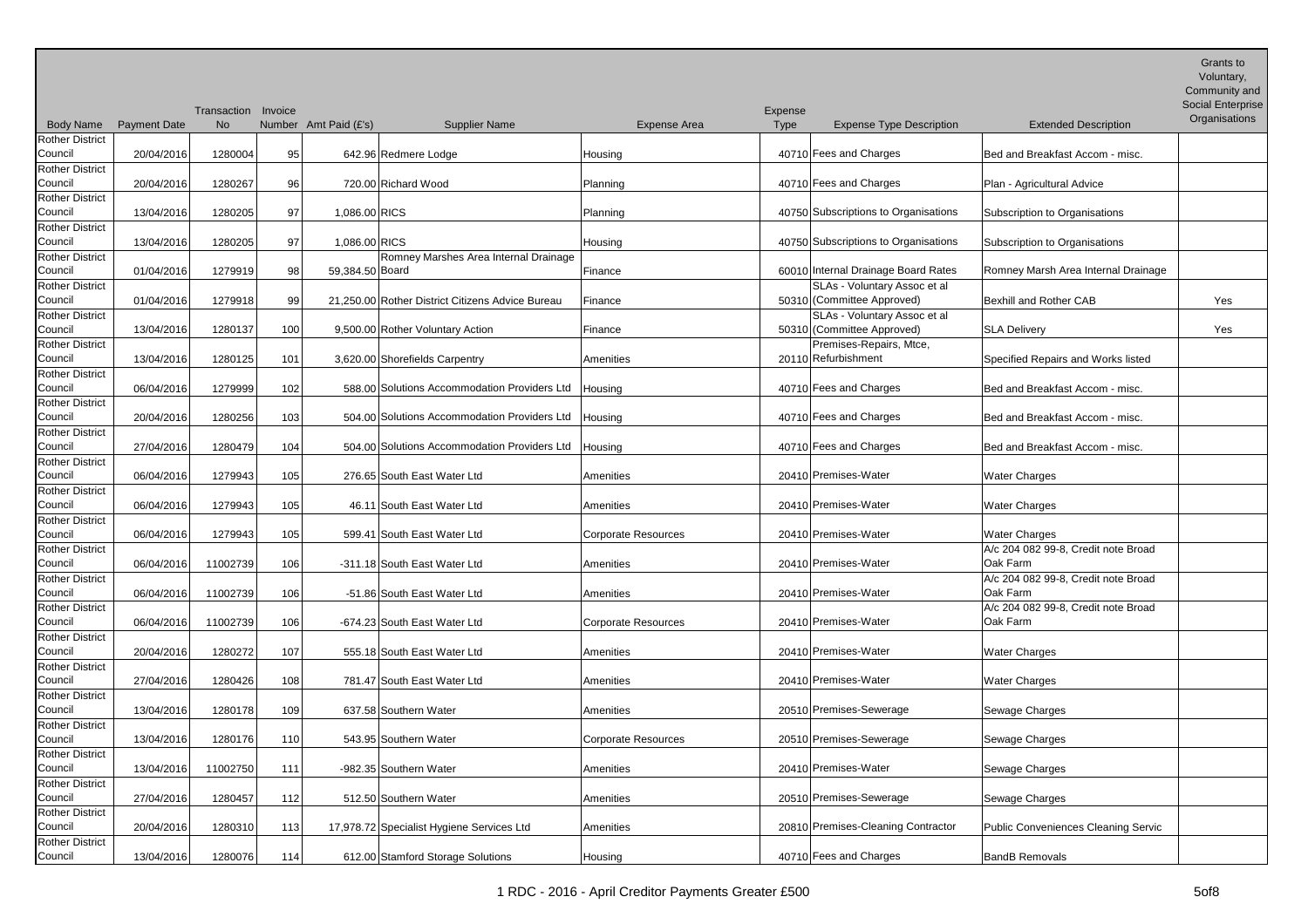| <b>Rother District</b><br>Council<br>40710 Fees and Charges<br>Bed and Breakfast Accom - misc.<br>20/04/2016<br>1280004<br>95<br>642.96 Redmere Lodge<br>Housing<br><b>Rother District</b><br>Council<br>40710 Fees and Charges<br>20/04/2016<br>1280267<br>96<br>720.00 Richard Wood<br>Plan - Agricultural Advice<br>Planning<br><b>Rother District</b><br>Council<br>40750 Subscriptions to Organisations<br>13/04/2016<br>97<br>1,086.00 RICS<br>1280205<br>Subscription to Organisations<br>Planning<br><b>Rother District</b><br>Council<br>13/04/2016<br>97<br>1,086.00 RICS<br>1280205<br>40750 Subscriptions to Organisations<br>Subscription to Organisations<br>Housing<br>Rother District<br>Romney Marshes Area Internal Drainage<br>60010 Internal Drainage Board Rates<br>Council<br>Romney Marsh Area Internal Drainage<br>01/04/2016<br>1279919<br>98<br>59,384.50 Board<br>Finance<br>SLAs - Voluntary Assoc et al<br><b>Rother District</b><br>50310 (Committee Approved)<br>Council<br>01/04/2016<br>1279918<br>21,250.00 Rother District Citizens Advice Bureau<br>99<br>Bexhill and Rother CAB<br>Yes<br>Finance<br><b>Rother District</b><br>SLAs - Voluntary Assoc et al<br>50310 (Committee Approved)<br>Council<br>100<br>13/04/2016<br>1280137<br>9,500.00 Rother Voluntary Action<br><b>SLA Delivery</b><br>Yes<br>Finance<br>Premises-Repairs, Mtce,<br><b>Rother District</b><br>Council<br>20110 Refurbishment<br>13/04/2016<br>1280125<br>101<br>3,620.00 Shorefields Carpentry<br>Amenities<br>Specified Repairs and Works listed<br><b>Rother District</b><br>Council<br>588.00 Solutions Accommodation Providers Ltd<br>40710 Fees and Charges<br>06/04/2016<br>1279999<br>Bed and Breakfast Accom - misc.<br>102<br>Housing<br><b>Rother District</b><br>Council<br>504.00 Solutions Accommodation Providers Ltd<br>40710 Fees and Charges<br>20/04/2016<br>1280256<br>103<br>Bed and Breakfast Accom - misc.<br>Housing<br><b>Rother District</b><br>Council<br>27/04/2016<br>1280479<br>104<br>40710 Fees and Charges<br>504.00 Solutions Accommodation Providers Ltd<br>Bed and Breakfast Accom - misc.<br>Housing<br><b>Rother District</b><br>Council<br>06/04/2016<br>1279943<br>105<br>276.65 South East Water Ltd<br>20410 Premises-Water<br><b>Water Charges</b><br>Amenities<br><b>Rother District</b><br>Council<br>46.11 South East Water Ltd<br>20410 Premises-Water<br>06/04/2016<br>1279943<br>105<br><b>Water Charges</b><br>Amenities<br><b>Rother District</b><br>Council<br>599.41 South East Water Ltd<br>20410 Premises-Water<br>06/04/2016<br>1279943<br>105<br><b>Corporate Resources</b><br><b>Water Charges</b><br><b>Rother District</b><br>A/c 204 082 99-8, Credit note Broad<br>Oak Farm<br>Council<br>20410 Premises-Water<br>06/04/2016<br>11002739<br>106<br>-311.18 South East Water Ltd<br>Amenities<br><b>Rother District</b><br>A/c 204 082 99-8, Credit note Broad<br>Oak Farm<br>Council<br>20410 Premises-Water<br>06/04/2016<br>11002739<br>-51.86 South East Water Ltd<br>106<br>Amenities<br>Rother District<br>A/c 204 082 99-8, Credit note Broad<br>Oak Farm<br>Council<br>-674.23 South East Water Ltd<br>20410 Premises-Water<br>06/04/2016<br>11002739<br>106<br><b>Corporate Resources</b><br><b>Rother District</b><br>Council<br>20/04/2016<br>1280272<br>107<br>555.18 South East Water Ltd<br>20410 Premises-Water<br><b>Water Charges</b><br>Amenities<br><b>Rother District</b><br>Council<br>27/04/2016<br>1280426<br>108<br>781.47 South East Water Ltd<br>20410 Premises-Water<br><b>Water Charges</b><br>Amenities<br><b>Rother District</b><br>20510 Premises-Sewerage<br>Council<br>637.58 Southern Water<br>13/04/2016<br>1280178<br>109<br>Sewage Charges<br>Amenities<br><b>Rother District</b><br>Council<br>20510 Premises-Sewerage<br>13/04/2016<br><b>Corporate Resources</b><br>Sewage Charges<br>1280176<br>110<br>543.95 Southern Water<br><b>Rother District</b><br>Council<br>20410 Premises-Water<br>13/04/2016<br>Sewage Charges<br>11002750<br>111<br>-982.35 Southern Water<br>Amenities<br><b>Rother District</b><br>Council<br>20510 Premises-Sewerage<br>512.50 Southern Water<br>27/04/2016<br>1280457<br>112<br>Amenities<br>Sewage Charges<br><b>Rother District</b><br>Council<br>20810 Premises-Cleaning Contractor<br>20/04/2016<br>17,978.72 Specialist Hygiene Services Ltd<br>Public Conveniences Cleaning Servic<br>1280310<br>113<br>Amenities<br><b>Rother District</b> | <b>Body Name</b> | <b>Payment Date</b> | Transaction Invoice<br><b>No</b> | Number Amt Paid (£'s)<br><b>Supplier Name</b> | Expense Area | Expense<br>Type<br><b>Expense Type Description</b> | <b>Extended Description</b> | Grants to<br>Voluntary,<br>Community and<br>Social Enterprise<br>Organisations |
|---------------------------------------------------------------------------------------------------------------------------------------------------------------------------------------------------------------------------------------------------------------------------------------------------------------------------------------------------------------------------------------------------------------------------------------------------------------------------------------------------------------------------------------------------------------------------------------------------------------------------------------------------------------------------------------------------------------------------------------------------------------------------------------------------------------------------------------------------------------------------------------------------------------------------------------------------------------------------------------------------------------------------------------------------------------------------------------------------------------------------------------------------------------------------------------------------------------------------------------------------------------------------------------------------------------------------------------------------------------------------------------------------------------------------------------------------------------------------------------------------------------------------------------------------------------------------------------------------------------------------------------------------------------------------------------------------------------------------------------------------------------------------------------------------------------------------------------------------------------------------------------------------------------------------------------------------------------------------------------------------------------------------------------------------------------------------------------------------------------------------------------------------------------------------------------------------------------------------------------------------------------------------------------------------------------------------------------------------------------------------------------------------------------------------------------------------------------------------------------------------------------------------------------------------------------------------------------------------------------------------------------------------------------------------------------------------------------------------------------------------------------------------------------------------------------------------------------------------------------------------------------------------------------------------------------------------------------------------------------------------------------------------------------------------------------------------------------------------------------------------------------------------------------------------------------------------------------------------------------------------------------------------------------------------------------------------------------------------------------------------------------------------------------------------------------------------------------------------------------------------------------------------------------------------------------------------------------------------------------------------------------------------------------------------------------------------------------------------------------------------------------------------------------------------------------------------------------------------------------------------------------------------------------------------------------------------------------------------------------------------------------------------------------------------------------------------------------------------------------------------------------------------------------------------------------------------------------------------------------------------------------------------------------------------------------------------------------------------------------------------------------------------------------------------------------------------------------------------------------------------------|------------------|---------------------|----------------------------------|-----------------------------------------------|--------------|----------------------------------------------------|-----------------------------|--------------------------------------------------------------------------------|
|                                                                                                                                                                                                                                                                                                                                                                                                                                                                                                                                                                                                                                                                                                                                                                                                                                                                                                                                                                                                                                                                                                                                                                                                                                                                                                                                                                                                                                                                                                                                                                                                                                                                                                                                                                                                                                                                                                                                                                                                                                                                                                                                                                                                                                                                                                                                                                                                                                                                                                                                                                                                                                                                                                                                                                                                                                                                                                                                                                                                                                                                                                                                                                                                                                                                                                                                                                                                                                                                                                                                                                                                                                                                                                                                                                                                                                                                                                                                                                                                                                                                                                                                                                                                                                                                                                                                                                                                                                                                                                         |                  |                     |                                  |                                               |              |                                                    |                             |                                                                                |
|                                                                                                                                                                                                                                                                                                                                                                                                                                                                                                                                                                                                                                                                                                                                                                                                                                                                                                                                                                                                                                                                                                                                                                                                                                                                                                                                                                                                                                                                                                                                                                                                                                                                                                                                                                                                                                                                                                                                                                                                                                                                                                                                                                                                                                                                                                                                                                                                                                                                                                                                                                                                                                                                                                                                                                                                                                                                                                                                                                                                                                                                                                                                                                                                                                                                                                                                                                                                                                                                                                                                                                                                                                                                                                                                                                                                                                                                                                                                                                                                                                                                                                                                                                                                                                                                                                                                                                                                                                                                                                         |                  |                     |                                  |                                               |              |                                                    |                             |                                                                                |
|                                                                                                                                                                                                                                                                                                                                                                                                                                                                                                                                                                                                                                                                                                                                                                                                                                                                                                                                                                                                                                                                                                                                                                                                                                                                                                                                                                                                                                                                                                                                                                                                                                                                                                                                                                                                                                                                                                                                                                                                                                                                                                                                                                                                                                                                                                                                                                                                                                                                                                                                                                                                                                                                                                                                                                                                                                                                                                                                                                                                                                                                                                                                                                                                                                                                                                                                                                                                                                                                                                                                                                                                                                                                                                                                                                                                                                                                                                                                                                                                                                                                                                                                                                                                                                                                                                                                                                                                                                                                                                         |                  |                     |                                  |                                               |              |                                                    |                             |                                                                                |
|                                                                                                                                                                                                                                                                                                                                                                                                                                                                                                                                                                                                                                                                                                                                                                                                                                                                                                                                                                                                                                                                                                                                                                                                                                                                                                                                                                                                                                                                                                                                                                                                                                                                                                                                                                                                                                                                                                                                                                                                                                                                                                                                                                                                                                                                                                                                                                                                                                                                                                                                                                                                                                                                                                                                                                                                                                                                                                                                                                                                                                                                                                                                                                                                                                                                                                                                                                                                                                                                                                                                                                                                                                                                                                                                                                                                                                                                                                                                                                                                                                                                                                                                                                                                                                                                                                                                                                                                                                                                                                         |                  |                     |                                  |                                               |              |                                                    |                             |                                                                                |
|                                                                                                                                                                                                                                                                                                                                                                                                                                                                                                                                                                                                                                                                                                                                                                                                                                                                                                                                                                                                                                                                                                                                                                                                                                                                                                                                                                                                                                                                                                                                                                                                                                                                                                                                                                                                                                                                                                                                                                                                                                                                                                                                                                                                                                                                                                                                                                                                                                                                                                                                                                                                                                                                                                                                                                                                                                                                                                                                                                                                                                                                                                                                                                                                                                                                                                                                                                                                                                                                                                                                                                                                                                                                                                                                                                                                                                                                                                                                                                                                                                                                                                                                                                                                                                                                                                                                                                                                                                                                                                         |                  |                     |                                  |                                               |              |                                                    |                             |                                                                                |
|                                                                                                                                                                                                                                                                                                                                                                                                                                                                                                                                                                                                                                                                                                                                                                                                                                                                                                                                                                                                                                                                                                                                                                                                                                                                                                                                                                                                                                                                                                                                                                                                                                                                                                                                                                                                                                                                                                                                                                                                                                                                                                                                                                                                                                                                                                                                                                                                                                                                                                                                                                                                                                                                                                                                                                                                                                                                                                                                                                                                                                                                                                                                                                                                                                                                                                                                                                                                                                                                                                                                                                                                                                                                                                                                                                                                                                                                                                                                                                                                                                                                                                                                                                                                                                                                                                                                                                                                                                                                                                         |                  |                     |                                  |                                               |              |                                                    |                             |                                                                                |
|                                                                                                                                                                                                                                                                                                                                                                                                                                                                                                                                                                                                                                                                                                                                                                                                                                                                                                                                                                                                                                                                                                                                                                                                                                                                                                                                                                                                                                                                                                                                                                                                                                                                                                                                                                                                                                                                                                                                                                                                                                                                                                                                                                                                                                                                                                                                                                                                                                                                                                                                                                                                                                                                                                                                                                                                                                                                                                                                                                                                                                                                                                                                                                                                                                                                                                                                                                                                                                                                                                                                                                                                                                                                                                                                                                                                                                                                                                                                                                                                                                                                                                                                                                                                                                                                                                                                                                                                                                                                                                         |                  |                     |                                  |                                               |              |                                                    |                             |                                                                                |
|                                                                                                                                                                                                                                                                                                                                                                                                                                                                                                                                                                                                                                                                                                                                                                                                                                                                                                                                                                                                                                                                                                                                                                                                                                                                                                                                                                                                                                                                                                                                                                                                                                                                                                                                                                                                                                                                                                                                                                                                                                                                                                                                                                                                                                                                                                                                                                                                                                                                                                                                                                                                                                                                                                                                                                                                                                                                                                                                                                                                                                                                                                                                                                                                                                                                                                                                                                                                                                                                                                                                                                                                                                                                                                                                                                                                                                                                                                                                                                                                                                                                                                                                                                                                                                                                                                                                                                                                                                                                                                         |                  |                     |                                  |                                               |              |                                                    |                             |                                                                                |
|                                                                                                                                                                                                                                                                                                                                                                                                                                                                                                                                                                                                                                                                                                                                                                                                                                                                                                                                                                                                                                                                                                                                                                                                                                                                                                                                                                                                                                                                                                                                                                                                                                                                                                                                                                                                                                                                                                                                                                                                                                                                                                                                                                                                                                                                                                                                                                                                                                                                                                                                                                                                                                                                                                                                                                                                                                                                                                                                                                                                                                                                                                                                                                                                                                                                                                                                                                                                                                                                                                                                                                                                                                                                                                                                                                                                                                                                                                                                                                                                                                                                                                                                                                                                                                                                                                                                                                                                                                                                                                         |                  |                     |                                  |                                               |              |                                                    |                             |                                                                                |
|                                                                                                                                                                                                                                                                                                                                                                                                                                                                                                                                                                                                                                                                                                                                                                                                                                                                                                                                                                                                                                                                                                                                                                                                                                                                                                                                                                                                                                                                                                                                                                                                                                                                                                                                                                                                                                                                                                                                                                                                                                                                                                                                                                                                                                                                                                                                                                                                                                                                                                                                                                                                                                                                                                                                                                                                                                                                                                                                                                                                                                                                                                                                                                                                                                                                                                                                                                                                                                                                                                                                                                                                                                                                                                                                                                                                                                                                                                                                                                                                                                                                                                                                                                                                                                                                                                                                                                                                                                                                                                         |                  |                     |                                  |                                               |              |                                                    |                             |                                                                                |
|                                                                                                                                                                                                                                                                                                                                                                                                                                                                                                                                                                                                                                                                                                                                                                                                                                                                                                                                                                                                                                                                                                                                                                                                                                                                                                                                                                                                                                                                                                                                                                                                                                                                                                                                                                                                                                                                                                                                                                                                                                                                                                                                                                                                                                                                                                                                                                                                                                                                                                                                                                                                                                                                                                                                                                                                                                                                                                                                                                                                                                                                                                                                                                                                                                                                                                                                                                                                                                                                                                                                                                                                                                                                                                                                                                                                                                                                                                                                                                                                                                                                                                                                                                                                                                                                                                                                                                                                                                                                                                         |                  |                     |                                  |                                               |              |                                                    |                             |                                                                                |
|                                                                                                                                                                                                                                                                                                                                                                                                                                                                                                                                                                                                                                                                                                                                                                                                                                                                                                                                                                                                                                                                                                                                                                                                                                                                                                                                                                                                                                                                                                                                                                                                                                                                                                                                                                                                                                                                                                                                                                                                                                                                                                                                                                                                                                                                                                                                                                                                                                                                                                                                                                                                                                                                                                                                                                                                                                                                                                                                                                                                                                                                                                                                                                                                                                                                                                                                                                                                                                                                                                                                                                                                                                                                                                                                                                                                                                                                                                                                                                                                                                                                                                                                                                                                                                                                                                                                                                                                                                                                                                         |                  |                     |                                  |                                               |              |                                                    |                             |                                                                                |
|                                                                                                                                                                                                                                                                                                                                                                                                                                                                                                                                                                                                                                                                                                                                                                                                                                                                                                                                                                                                                                                                                                                                                                                                                                                                                                                                                                                                                                                                                                                                                                                                                                                                                                                                                                                                                                                                                                                                                                                                                                                                                                                                                                                                                                                                                                                                                                                                                                                                                                                                                                                                                                                                                                                                                                                                                                                                                                                                                                                                                                                                                                                                                                                                                                                                                                                                                                                                                                                                                                                                                                                                                                                                                                                                                                                                                                                                                                                                                                                                                                                                                                                                                                                                                                                                                                                                                                                                                                                                                                         |                  |                     |                                  |                                               |              |                                                    |                             |                                                                                |
|                                                                                                                                                                                                                                                                                                                                                                                                                                                                                                                                                                                                                                                                                                                                                                                                                                                                                                                                                                                                                                                                                                                                                                                                                                                                                                                                                                                                                                                                                                                                                                                                                                                                                                                                                                                                                                                                                                                                                                                                                                                                                                                                                                                                                                                                                                                                                                                                                                                                                                                                                                                                                                                                                                                                                                                                                                                                                                                                                                                                                                                                                                                                                                                                                                                                                                                                                                                                                                                                                                                                                                                                                                                                                                                                                                                                                                                                                                                                                                                                                                                                                                                                                                                                                                                                                                                                                                                                                                                                                                         |                  |                     |                                  |                                               |              |                                                    |                             |                                                                                |
|                                                                                                                                                                                                                                                                                                                                                                                                                                                                                                                                                                                                                                                                                                                                                                                                                                                                                                                                                                                                                                                                                                                                                                                                                                                                                                                                                                                                                                                                                                                                                                                                                                                                                                                                                                                                                                                                                                                                                                                                                                                                                                                                                                                                                                                                                                                                                                                                                                                                                                                                                                                                                                                                                                                                                                                                                                                                                                                                                                                                                                                                                                                                                                                                                                                                                                                                                                                                                                                                                                                                                                                                                                                                                                                                                                                                                                                                                                                                                                                                                                                                                                                                                                                                                                                                                                                                                                                                                                                                                                         |                  |                     |                                  |                                               |              |                                                    |                             |                                                                                |
|                                                                                                                                                                                                                                                                                                                                                                                                                                                                                                                                                                                                                                                                                                                                                                                                                                                                                                                                                                                                                                                                                                                                                                                                                                                                                                                                                                                                                                                                                                                                                                                                                                                                                                                                                                                                                                                                                                                                                                                                                                                                                                                                                                                                                                                                                                                                                                                                                                                                                                                                                                                                                                                                                                                                                                                                                                                                                                                                                                                                                                                                                                                                                                                                                                                                                                                                                                                                                                                                                                                                                                                                                                                                                                                                                                                                                                                                                                                                                                                                                                                                                                                                                                                                                                                                                                                                                                                                                                                                                                         |                  |                     |                                  |                                               |              |                                                    |                             |                                                                                |
|                                                                                                                                                                                                                                                                                                                                                                                                                                                                                                                                                                                                                                                                                                                                                                                                                                                                                                                                                                                                                                                                                                                                                                                                                                                                                                                                                                                                                                                                                                                                                                                                                                                                                                                                                                                                                                                                                                                                                                                                                                                                                                                                                                                                                                                                                                                                                                                                                                                                                                                                                                                                                                                                                                                                                                                                                                                                                                                                                                                                                                                                                                                                                                                                                                                                                                                                                                                                                                                                                                                                                                                                                                                                                                                                                                                                                                                                                                                                                                                                                                                                                                                                                                                                                                                                                                                                                                                                                                                                                                         |                  |                     |                                  |                                               |              |                                                    |                             |                                                                                |
|                                                                                                                                                                                                                                                                                                                                                                                                                                                                                                                                                                                                                                                                                                                                                                                                                                                                                                                                                                                                                                                                                                                                                                                                                                                                                                                                                                                                                                                                                                                                                                                                                                                                                                                                                                                                                                                                                                                                                                                                                                                                                                                                                                                                                                                                                                                                                                                                                                                                                                                                                                                                                                                                                                                                                                                                                                                                                                                                                                                                                                                                                                                                                                                                                                                                                                                                                                                                                                                                                                                                                                                                                                                                                                                                                                                                                                                                                                                                                                                                                                                                                                                                                                                                                                                                                                                                                                                                                                                                                                         |                  |                     |                                  |                                               |              |                                                    |                             |                                                                                |
|                                                                                                                                                                                                                                                                                                                                                                                                                                                                                                                                                                                                                                                                                                                                                                                                                                                                                                                                                                                                                                                                                                                                                                                                                                                                                                                                                                                                                                                                                                                                                                                                                                                                                                                                                                                                                                                                                                                                                                                                                                                                                                                                                                                                                                                                                                                                                                                                                                                                                                                                                                                                                                                                                                                                                                                                                                                                                                                                                                                                                                                                                                                                                                                                                                                                                                                                                                                                                                                                                                                                                                                                                                                                                                                                                                                                                                                                                                                                                                                                                                                                                                                                                                                                                                                                                                                                                                                                                                                                                                         |                  |                     |                                  |                                               |              |                                                    |                             |                                                                                |
|                                                                                                                                                                                                                                                                                                                                                                                                                                                                                                                                                                                                                                                                                                                                                                                                                                                                                                                                                                                                                                                                                                                                                                                                                                                                                                                                                                                                                                                                                                                                                                                                                                                                                                                                                                                                                                                                                                                                                                                                                                                                                                                                                                                                                                                                                                                                                                                                                                                                                                                                                                                                                                                                                                                                                                                                                                                                                                                                                                                                                                                                                                                                                                                                                                                                                                                                                                                                                                                                                                                                                                                                                                                                                                                                                                                                                                                                                                                                                                                                                                                                                                                                                                                                                                                                                                                                                                                                                                                                                                         |                  |                     |                                  |                                               |              |                                                    |                             |                                                                                |
|                                                                                                                                                                                                                                                                                                                                                                                                                                                                                                                                                                                                                                                                                                                                                                                                                                                                                                                                                                                                                                                                                                                                                                                                                                                                                                                                                                                                                                                                                                                                                                                                                                                                                                                                                                                                                                                                                                                                                                                                                                                                                                                                                                                                                                                                                                                                                                                                                                                                                                                                                                                                                                                                                                                                                                                                                                                                                                                                                                                                                                                                                                                                                                                                                                                                                                                                                                                                                                                                                                                                                                                                                                                                                                                                                                                                                                                                                                                                                                                                                                                                                                                                                                                                                                                                                                                                                                                                                                                                                                         |                  |                     |                                  |                                               |              |                                                    |                             |                                                                                |
|                                                                                                                                                                                                                                                                                                                                                                                                                                                                                                                                                                                                                                                                                                                                                                                                                                                                                                                                                                                                                                                                                                                                                                                                                                                                                                                                                                                                                                                                                                                                                                                                                                                                                                                                                                                                                                                                                                                                                                                                                                                                                                                                                                                                                                                                                                                                                                                                                                                                                                                                                                                                                                                                                                                                                                                                                                                                                                                                                                                                                                                                                                                                                                                                                                                                                                                                                                                                                                                                                                                                                                                                                                                                                                                                                                                                                                                                                                                                                                                                                                                                                                                                                                                                                                                                                                                                                                                                                                                                                                         |                  |                     |                                  |                                               |              |                                                    |                             |                                                                                |
|                                                                                                                                                                                                                                                                                                                                                                                                                                                                                                                                                                                                                                                                                                                                                                                                                                                                                                                                                                                                                                                                                                                                                                                                                                                                                                                                                                                                                                                                                                                                                                                                                                                                                                                                                                                                                                                                                                                                                                                                                                                                                                                                                                                                                                                                                                                                                                                                                                                                                                                                                                                                                                                                                                                                                                                                                                                                                                                                                                                                                                                                                                                                                                                                                                                                                                                                                                                                                                                                                                                                                                                                                                                                                                                                                                                                                                                                                                                                                                                                                                                                                                                                                                                                                                                                                                                                                                                                                                                                                                         |                  |                     |                                  |                                               |              |                                                    |                             |                                                                                |
|                                                                                                                                                                                                                                                                                                                                                                                                                                                                                                                                                                                                                                                                                                                                                                                                                                                                                                                                                                                                                                                                                                                                                                                                                                                                                                                                                                                                                                                                                                                                                                                                                                                                                                                                                                                                                                                                                                                                                                                                                                                                                                                                                                                                                                                                                                                                                                                                                                                                                                                                                                                                                                                                                                                                                                                                                                                                                                                                                                                                                                                                                                                                                                                                                                                                                                                                                                                                                                                                                                                                                                                                                                                                                                                                                                                                                                                                                                                                                                                                                                                                                                                                                                                                                                                                                                                                                                                                                                                                                                         |                  |                     |                                  |                                               |              |                                                    |                             |                                                                                |
|                                                                                                                                                                                                                                                                                                                                                                                                                                                                                                                                                                                                                                                                                                                                                                                                                                                                                                                                                                                                                                                                                                                                                                                                                                                                                                                                                                                                                                                                                                                                                                                                                                                                                                                                                                                                                                                                                                                                                                                                                                                                                                                                                                                                                                                                                                                                                                                                                                                                                                                                                                                                                                                                                                                                                                                                                                                                                                                                                                                                                                                                                                                                                                                                                                                                                                                                                                                                                                                                                                                                                                                                                                                                                                                                                                                                                                                                                                                                                                                                                                                                                                                                                                                                                                                                                                                                                                                                                                                                                                         |                  |                     |                                  |                                               |              |                                                    |                             |                                                                                |
|                                                                                                                                                                                                                                                                                                                                                                                                                                                                                                                                                                                                                                                                                                                                                                                                                                                                                                                                                                                                                                                                                                                                                                                                                                                                                                                                                                                                                                                                                                                                                                                                                                                                                                                                                                                                                                                                                                                                                                                                                                                                                                                                                                                                                                                                                                                                                                                                                                                                                                                                                                                                                                                                                                                                                                                                                                                                                                                                                                                                                                                                                                                                                                                                                                                                                                                                                                                                                                                                                                                                                                                                                                                                                                                                                                                                                                                                                                                                                                                                                                                                                                                                                                                                                                                                                                                                                                                                                                                                                                         |                  |                     |                                  |                                               |              |                                                    |                             |                                                                                |
|                                                                                                                                                                                                                                                                                                                                                                                                                                                                                                                                                                                                                                                                                                                                                                                                                                                                                                                                                                                                                                                                                                                                                                                                                                                                                                                                                                                                                                                                                                                                                                                                                                                                                                                                                                                                                                                                                                                                                                                                                                                                                                                                                                                                                                                                                                                                                                                                                                                                                                                                                                                                                                                                                                                                                                                                                                                                                                                                                                                                                                                                                                                                                                                                                                                                                                                                                                                                                                                                                                                                                                                                                                                                                                                                                                                                                                                                                                                                                                                                                                                                                                                                                                                                                                                                                                                                                                                                                                                                                                         |                  |                     |                                  |                                               |              |                                                    |                             |                                                                                |
|                                                                                                                                                                                                                                                                                                                                                                                                                                                                                                                                                                                                                                                                                                                                                                                                                                                                                                                                                                                                                                                                                                                                                                                                                                                                                                                                                                                                                                                                                                                                                                                                                                                                                                                                                                                                                                                                                                                                                                                                                                                                                                                                                                                                                                                                                                                                                                                                                                                                                                                                                                                                                                                                                                                                                                                                                                                                                                                                                                                                                                                                                                                                                                                                                                                                                                                                                                                                                                                                                                                                                                                                                                                                                                                                                                                                                                                                                                                                                                                                                                                                                                                                                                                                                                                                                                                                                                                                                                                                                                         |                  |                     |                                  |                                               |              |                                                    |                             |                                                                                |
|                                                                                                                                                                                                                                                                                                                                                                                                                                                                                                                                                                                                                                                                                                                                                                                                                                                                                                                                                                                                                                                                                                                                                                                                                                                                                                                                                                                                                                                                                                                                                                                                                                                                                                                                                                                                                                                                                                                                                                                                                                                                                                                                                                                                                                                                                                                                                                                                                                                                                                                                                                                                                                                                                                                                                                                                                                                                                                                                                                                                                                                                                                                                                                                                                                                                                                                                                                                                                                                                                                                                                                                                                                                                                                                                                                                                                                                                                                                                                                                                                                                                                                                                                                                                                                                                                                                                                                                                                                                                                                         |                  |                     |                                  |                                               |              |                                                    |                             |                                                                                |
|                                                                                                                                                                                                                                                                                                                                                                                                                                                                                                                                                                                                                                                                                                                                                                                                                                                                                                                                                                                                                                                                                                                                                                                                                                                                                                                                                                                                                                                                                                                                                                                                                                                                                                                                                                                                                                                                                                                                                                                                                                                                                                                                                                                                                                                                                                                                                                                                                                                                                                                                                                                                                                                                                                                                                                                                                                                                                                                                                                                                                                                                                                                                                                                                                                                                                                                                                                                                                                                                                                                                                                                                                                                                                                                                                                                                                                                                                                                                                                                                                                                                                                                                                                                                                                                                                                                                                                                                                                                                                                         |                  |                     |                                  |                                               |              |                                                    |                             |                                                                                |
|                                                                                                                                                                                                                                                                                                                                                                                                                                                                                                                                                                                                                                                                                                                                                                                                                                                                                                                                                                                                                                                                                                                                                                                                                                                                                                                                                                                                                                                                                                                                                                                                                                                                                                                                                                                                                                                                                                                                                                                                                                                                                                                                                                                                                                                                                                                                                                                                                                                                                                                                                                                                                                                                                                                                                                                                                                                                                                                                                                                                                                                                                                                                                                                                                                                                                                                                                                                                                                                                                                                                                                                                                                                                                                                                                                                                                                                                                                                                                                                                                                                                                                                                                                                                                                                                                                                                                                                                                                                                                                         |                  |                     |                                  |                                               |              |                                                    |                             |                                                                                |
|                                                                                                                                                                                                                                                                                                                                                                                                                                                                                                                                                                                                                                                                                                                                                                                                                                                                                                                                                                                                                                                                                                                                                                                                                                                                                                                                                                                                                                                                                                                                                                                                                                                                                                                                                                                                                                                                                                                                                                                                                                                                                                                                                                                                                                                                                                                                                                                                                                                                                                                                                                                                                                                                                                                                                                                                                                                                                                                                                                                                                                                                                                                                                                                                                                                                                                                                                                                                                                                                                                                                                                                                                                                                                                                                                                                                                                                                                                                                                                                                                                                                                                                                                                                                                                                                                                                                                                                                                                                                                                         |                  |                     |                                  |                                               |              |                                                    |                             |                                                                                |
|                                                                                                                                                                                                                                                                                                                                                                                                                                                                                                                                                                                                                                                                                                                                                                                                                                                                                                                                                                                                                                                                                                                                                                                                                                                                                                                                                                                                                                                                                                                                                                                                                                                                                                                                                                                                                                                                                                                                                                                                                                                                                                                                                                                                                                                                                                                                                                                                                                                                                                                                                                                                                                                                                                                                                                                                                                                                                                                                                                                                                                                                                                                                                                                                                                                                                                                                                                                                                                                                                                                                                                                                                                                                                                                                                                                                                                                                                                                                                                                                                                                                                                                                                                                                                                                                                                                                                                                                                                                                                                         |                  |                     |                                  |                                               |              |                                                    |                             |                                                                                |
|                                                                                                                                                                                                                                                                                                                                                                                                                                                                                                                                                                                                                                                                                                                                                                                                                                                                                                                                                                                                                                                                                                                                                                                                                                                                                                                                                                                                                                                                                                                                                                                                                                                                                                                                                                                                                                                                                                                                                                                                                                                                                                                                                                                                                                                                                                                                                                                                                                                                                                                                                                                                                                                                                                                                                                                                                                                                                                                                                                                                                                                                                                                                                                                                                                                                                                                                                                                                                                                                                                                                                                                                                                                                                                                                                                                                                                                                                                                                                                                                                                                                                                                                                                                                                                                                                                                                                                                                                                                                                                         |                  |                     |                                  |                                               |              |                                                    |                             |                                                                                |
|                                                                                                                                                                                                                                                                                                                                                                                                                                                                                                                                                                                                                                                                                                                                                                                                                                                                                                                                                                                                                                                                                                                                                                                                                                                                                                                                                                                                                                                                                                                                                                                                                                                                                                                                                                                                                                                                                                                                                                                                                                                                                                                                                                                                                                                                                                                                                                                                                                                                                                                                                                                                                                                                                                                                                                                                                                                                                                                                                                                                                                                                                                                                                                                                                                                                                                                                                                                                                                                                                                                                                                                                                                                                                                                                                                                                                                                                                                                                                                                                                                                                                                                                                                                                                                                                                                                                                                                                                                                                                                         |                  |                     |                                  |                                               |              |                                                    |                             |                                                                                |
|                                                                                                                                                                                                                                                                                                                                                                                                                                                                                                                                                                                                                                                                                                                                                                                                                                                                                                                                                                                                                                                                                                                                                                                                                                                                                                                                                                                                                                                                                                                                                                                                                                                                                                                                                                                                                                                                                                                                                                                                                                                                                                                                                                                                                                                                                                                                                                                                                                                                                                                                                                                                                                                                                                                                                                                                                                                                                                                                                                                                                                                                                                                                                                                                                                                                                                                                                                                                                                                                                                                                                                                                                                                                                                                                                                                                                                                                                                                                                                                                                                                                                                                                                                                                                                                                                                                                                                                                                                                                                                         |                  |                     |                                  |                                               |              |                                                    |                             |                                                                                |
|                                                                                                                                                                                                                                                                                                                                                                                                                                                                                                                                                                                                                                                                                                                                                                                                                                                                                                                                                                                                                                                                                                                                                                                                                                                                                                                                                                                                                                                                                                                                                                                                                                                                                                                                                                                                                                                                                                                                                                                                                                                                                                                                                                                                                                                                                                                                                                                                                                                                                                                                                                                                                                                                                                                                                                                                                                                                                                                                                                                                                                                                                                                                                                                                                                                                                                                                                                                                                                                                                                                                                                                                                                                                                                                                                                                                                                                                                                                                                                                                                                                                                                                                                                                                                                                                                                                                                                                                                                                                                                         |                  |                     |                                  |                                               |              |                                                    |                             |                                                                                |
|                                                                                                                                                                                                                                                                                                                                                                                                                                                                                                                                                                                                                                                                                                                                                                                                                                                                                                                                                                                                                                                                                                                                                                                                                                                                                                                                                                                                                                                                                                                                                                                                                                                                                                                                                                                                                                                                                                                                                                                                                                                                                                                                                                                                                                                                                                                                                                                                                                                                                                                                                                                                                                                                                                                                                                                                                                                                                                                                                                                                                                                                                                                                                                                                                                                                                                                                                                                                                                                                                                                                                                                                                                                                                                                                                                                                                                                                                                                                                                                                                                                                                                                                                                                                                                                                                                                                                                                                                                                                                                         |                  |                     |                                  |                                               |              |                                                    |                             |                                                                                |
|                                                                                                                                                                                                                                                                                                                                                                                                                                                                                                                                                                                                                                                                                                                                                                                                                                                                                                                                                                                                                                                                                                                                                                                                                                                                                                                                                                                                                                                                                                                                                                                                                                                                                                                                                                                                                                                                                                                                                                                                                                                                                                                                                                                                                                                                                                                                                                                                                                                                                                                                                                                                                                                                                                                                                                                                                                                                                                                                                                                                                                                                                                                                                                                                                                                                                                                                                                                                                                                                                                                                                                                                                                                                                                                                                                                                                                                                                                                                                                                                                                                                                                                                                                                                                                                                                                                                                                                                                                                                                                         |                  |                     |                                  |                                               |              |                                                    |                             |                                                                                |
|                                                                                                                                                                                                                                                                                                                                                                                                                                                                                                                                                                                                                                                                                                                                                                                                                                                                                                                                                                                                                                                                                                                                                                                                                                                                                                                                                                                                                                                                                                                                                                                                                                                                                                                                                                                                                                                                                                                                                                                                                                                                                                                                                                                                                                                                                                                                                                                                                                                                                                                                                                                                                                                                                                                                                                                                                                                                                                                                                                                                                                                                                                                                                                                                                                                                                                                                                                                                                                                                                                                                                                                                                                                                                                                                                                                                                                                                                                                                                                                                                                                                                                                                                                                                                                                                                                                                                                                                                                                                                                         |                  |                     |                                  |                                               |              |                                                    |                             |                                                                                |
|                                                                                                                                                                                                                                                                                                                                                                                                                                                                                                                                                                                                                                                                                                                                                                                                                                                                                                                                                                                                                                                                                                                                                                                                                                                                                                                                                                                                                                                                                                                                                                                                                                                                                                                                                                                                                                                                                                                                                                                                                                                                                                                                                                                                                                                                                                                                                                                                                                                                                                                                                                                                                                                                                                                                                                                                                                                                                                                                                                                                                                                                                                                                                                                                                                                                                                                                                                                                                                                                                                                                                                                                                                                                                                                                                                                                                                                                                                                                                                                                                                                                                                                                                                                                                                                                                                                                                                                                                                                                                                         |                  |                     |                                  |                                               |              |                                                    |                             |                                                                                |
|                                                                                                                                                                                                                                                                                                                                                                                                                                                                                                                                                                                                                                                                                                                                                                                                                                                                                                                                                                                                                                                                                                                                                                                                                                                                                                                                                                                                                                                                                                                                                                                                                                                                                                                                                                                                                                                                                                                                                                                                                                                                                                                                                                                                                                                                                                                                                                                                                                                                                                                                                                                                                                                                                                                                                                                                                                                                                                                                                                                                                                                                                                                                                                                                                                                                                                                                                                                                                                                                                                                                                                                                                                                                                                                                                                                                                                                                                                                                                                                                                                                                                                                                                                                                                                                                                                                                                                                                                                                                                                         |                  |                     |                                  |                                               |              |                                                    |                             |                                                                                |
|                                                                                                                                                                                                                                                                                                                                                                                                                                                                                                                                                                                                                                                                                                                                                                                                                                                                                                                                                                                                                                                                                                                                                                                                                                                                                                                                                                                                                                                                                                                                                                                                                                                                                                                                                                                                                                                                                                                                                                                                                                                                                                                                                                                                                                                                                                                                                                                                                                                                                                                                                                                                                                                                                                                                                                                                                                                                                                                                                                                                                                                                                                                                                                                                                                                                                                                                                                                                                                                                                                                                                                                                                                                                                                                                                                                                                                                                                                                                                                                                                                                                                                                                                                                                                                                                                                                                                                                                                                                                                                         |                  |                     |                                  |                                               |              |                                                    |                             |                                                                                |
|                                                                                                                                                                                                                                                                                                                                                                                                                                                                                                                                                                                                                                                                                                                                                                                                                                                                                                                                                                                                                                                                                                                                                                                                                                                                                                                                                                                                                                                                                                                                                                                                                                                                                                                                                                                                                                                                                                                                                                                                                                                                                                                                                                                                                                                                                                                                                                                                                                                                                                                                                                                                                                                                                                                                                                                                                                                                                                                                                                                                                                                                                                                                                                                                                                                                                                                                                                                                                                                                                                                                                                                                                                                                                                                                                                                                                                                                                                                                                                                                                                                                                                                                                                                                                                                                                                                                                                                                                                                                                                         |                  |                     |                                  |                                               |              |                                                    |                             |                                                                                |
|                                                                                                                                                                                                                                                                                                                                                                                                                                                                                                                                                                                                                                                                                                                                                                                                                                                                                                                                                                                                                                                                                                                                                                                                                                                                                                                                                                                                                                                                                                                                                                                                                                                                                                                                                                                                                                                                                                                                                                                                                                                                                                                                                                                                                                                                                                                                                                                                                                                                                                                                                                                                                                                                                                                                                                                                                                                                                                                                                                                                                                                                                                                                                                                                                                                                                                                                                                                                                                                                                                                                                                                                                                                                                                                                                                                                                                                                                                                                                                                                                                                                                                                                                                                                                                                                                                                                                                                                                                                                                                         |                  |                     |                                  |                                               |              |                                                    |                             |                                                                                |
|                                                                                                                                                                                                                                                                                                                                                                                                                                                                                                                                                                                                                                                                                                                                                                                                                                                                                                                                                                                                                                                                                                                                                                                                                                                                                                                                                                                                                                                                                                                                                                                                                                                                                                                                                                                                                                                                                                                                                                                                                                                                                                                                                                                                                                                                                                                                                                                                                                                                                                                                                                                                                                                                                                                                                                                                                                                                                                                                                                                                                                                                                                                                                                                                                                                                                                                                                                                                                                                                                                                                                                                                                                                                                                                                                                                                                                                                                                                                                                                                                                                                                                                                                                                                                                                                                                                                                                                                                                                                                                         |                  |                     |                                  |                                               |              |                                                    |                             |                                                                                |
| 40710 Fees and Charges<br>Council<br><b>BandB Removals</b><br>13/04/2016<br>612.00 Stamford Storage Solutions<br>1280076<br>114<br>Housing                                                                                                                                                                                                                                                                                                                                                                                                                                                                                                                                                                                                                                                                                                                                                                                                                                                                                                                                                                                                                                                                                                                                                                                                                                                                                                                                                                                                                                                                                                                                                                                                                                                                                                                                                                                                                                                                                                                                                                                                                                                                                                                                                                                                                                                                                                                                                                                                                                                                                                                                                                                                                                                                                                                                                                                                                                                                                                                                                                                                                                                                                                                                                                                                                                                                                                                                                                                                                                                                                                                                                                                                                                                                                                                                                                                                                                                                                                                                                                                                                                                                                                                                                                                                                                                                                                                                                              |                  |                     |                                  |                                               |              |                                                    |                             |                                                                                |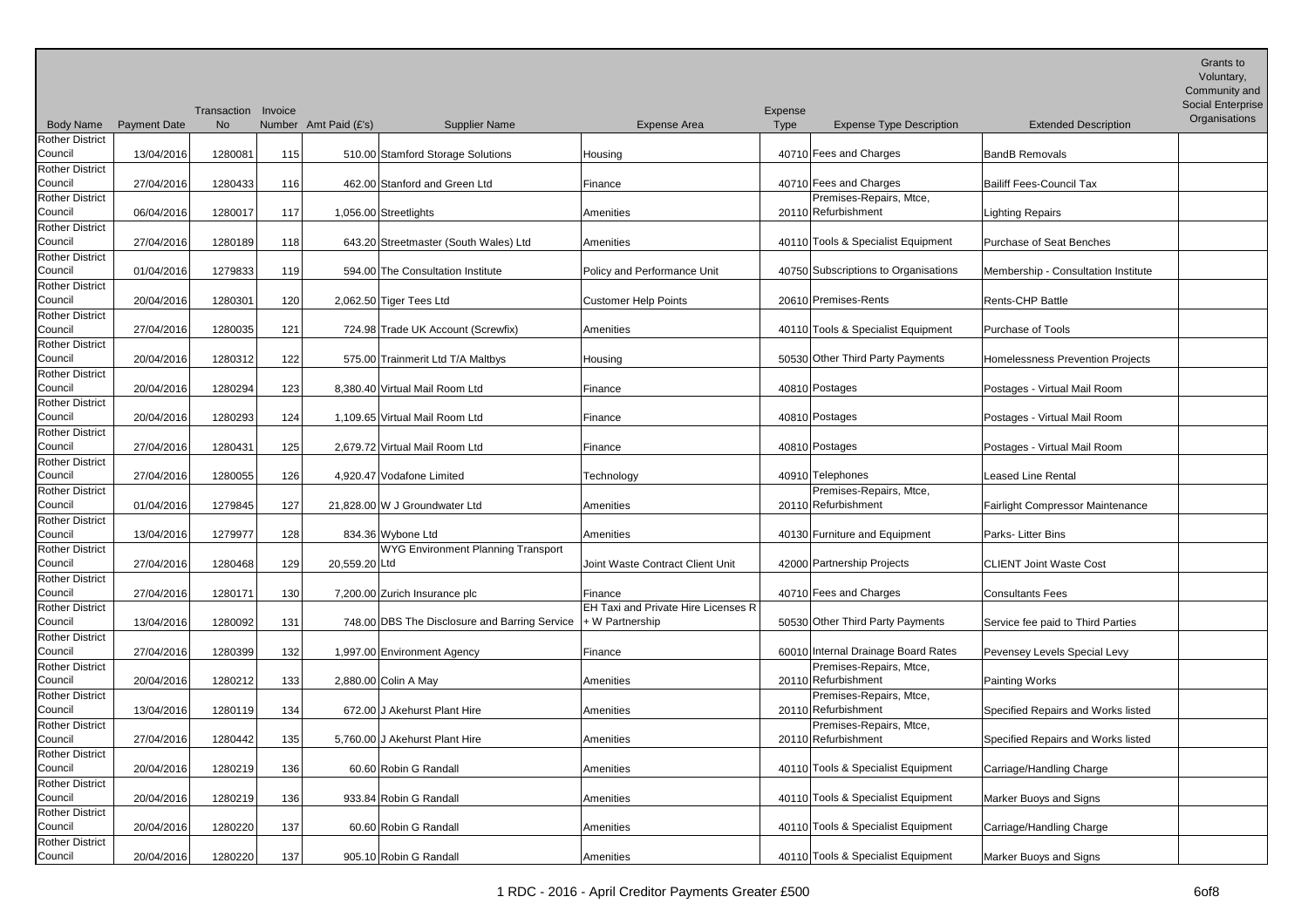| <b>Body Name</b>                  | <b>Payment Date</b> | Transaction<br><b>No</b> | Invoice | Number Amt Paid (£'s)   | <b>Supplier Name</b>                          | <b>Expense Area</b>                 | Expense<br>Type | <b>Expense Type Description</b>                | <b>Extended Description</b>         | $U$ anis lu<br>Voluntary,<br>Community and<br><b>Social Enterprise</b><br>Organisations |
|-----------------------------------|---------------------|--------------------------|---------|-------------------------|-----------------------------------------------|-------------------------------------|-----------------|------------------------------------------------|-------------------------------------|-----------------------------------------------------------------------------------------|
| <b>Rother District</b>            |                     |                          |         |                         |                                               |                                     |                 |                                                |                                     |                                                                                         |
| Council                           | 13/04/2016          | 1280081                  | 115     |                         | 510.00 Stamford Storage Solutions             | Housing                             |                 | 40710 Fees and Charges                         | BandB Removals                      |                                                                                         |
| <b>Rother District</b><br>Council | 27/04/2016          | 1280433                  | 116     |                         | 462.00 Stanford and Green Ltd                 | Finance                             |                 | 40710 Fees and Charges                         | Bailiff Fees-Council Tax            |                                                                                         |
| <b>Rother District</b><br>Council | 06/04/2016          | 1280017                  | 117     | 1,056.00 Streetlights   |                                               | Amenities                           |                 | Premises-Repairs, Mtce,<br>20110 Refurbishment | <b>Lighting Repairs</b>             |                                                                                         |
| <b>Rother District</b>            |                     |                          |         |                         |                                               |                                     |                 |                                                |                                     |                                                                                         |
| Council<br><b>Rother District</b> | 27/04/2016          | 1280189                  | 118     |                         | 643.20 Streetmaster (South Wales) Ltd         | Amenities                           |                 | 40110 Tools & Specialist Equipment             | Purchase of Seat Benches            |                                                                                         |
| Council                           | 01/04/2016          | 1279833                  | 119     |                         | 594.00 The Consultation Institute             | Policy and Performance Unit         |                 | 40750 Subscriptions to Organisations           | Membership - Consultation Institute |                                                                                         |
| <b>Rother District</b><br>Council | 20/04/2016          | 1280301                  | 120     | 2,062.50 Tiger Tees Ltd |                                               | <b>Customer Help Points</b>         |                 | 20610 Premises-Rents                           | Rents-CHP Battle                    |                                                                                         |
| <b>Rother District</b>            |                     |                          |         |                         |                                               |                                     |                 |                                                |                                     |                                                                                         |
| Council                           | 27/04/2016          | 1280035                  | 121     |                         | 724.98 Trade UK Account (Screwfix)            | Amenities                           |                 | 40110 Tools & Specialist Equipment             | Purchase of Tools                   |                                                                                         |
| <b>Rother District</b><br>Council | 20/04/2016          | 1280312                  | 122     |                         | 575.00 Trainmerit Ltd T/A Maltbys             | Housing                             |                 | 50530 Other Third Party Payments               | Homelessness Prevention Projects    |                                                                                         |
| <b>Rother District</b><br>Council |                     |                          |         |                         |                                               |                                     |                 |                                                |                                     |                                                                                         |
| <b>Rother District</b>            | 20/04/2016          | 1280294                  | 123     |                         | 8,380.40 Virtual Mail Room Ltd                | Finance                             |                 | 40810 Postages                                 | Postages - Virtual Mail Room        |                                                                                         |
| Council                           | 20/04/2016          | 1280293                  | 124     |                         | 1,109.65 Virtual Mail Room Ltd                | Finance                             |                 | 40810 Postages                                 | Postages - Virtual Mail Room        |                                                                                         |
| <b>Rother District</b><br>Council | 27/04/2016          | 1280431                  | 125     |                         | 2.679.72 Virtual Mail Room Ltd                | Finance                             |                 | 40810 Postages                                 | Postages - Virtual Mail Room        |                                                                                         |
| <b>Rother District</b>            |                     |                          |         |                         |                                               |                                     |                 |                                                |                                     |                                                                                         |
| Council                           | 27/04/2016          | 1280055                  | 126     |                         | 4,920.47 Vodafone Limited                     | Technology                          |                 | 40910 Telephones                               | Leased Line Rental                  |                                                                                         |
| <b>Rother District</b><br>Council | 01/04/2016          | 1279845                  | 127     |                         | 21,828.00 W J Groundwater Ltd                 | Amenities                           |                 | Premises-Repairs, Mtce,<br>20110 Refurbishment | Fairlight Compressor Maintenance    |                                                                                         |
| <b>Rother District</b>            |                     |                          |         |                         |                                               |                                     |                 |                                                |                                     |                                                                                         |
| Council                           | 13/04/2016          | 1279977                  | 128     | 834.36 Wybone Ltd       |                                               | Amenities                           |                 | 40130 Furniture and Equipment                  | Parks-Litter Bins                   |                                                                                         |
| <b>Rother District</b>            |                     |                          |         |                         | WYG Environment Planning Transport            |                                     |                 |                                                |                                     |                                                                                         |
| Council<br><b>Rother District</b> | 27/04/2016          | 1280468                  | 129     | 20,559.20 Ltd           |                                               | Joint Waste Contract Client Unit    |                 | 42000 Partnership Projects                     | <b>CLIENT Joint Waste Cost</b>      |                                                                                         |
| Council                           | 27/04/2016          | 1280171                  | 130     |                         | 7,200.00 Zurich Insurance plc                 | Finance                             |                 | 40710 Fees and Charges                         | <b>Consultants Fees</b>             |                                                                                         |
| <b>Rother District</b>            |                     |                          |         |                         |                                               | EH Taxi and Private Hire Licenses R |                 |                                                |                                     |                                                                                         |
| Council<br><b>Rother District</b> | 13/04/2016          | 1280092                  | 131     |                         | 748.00 DBS The Disclosure and Barring Service | $+ W$ Partnership                   |                 | 50530 Other Third Party Payments               | Service fee paid to Third Parties   |                                                                                         |
| Council                           | 27/04/2016          | 1280399                  | 132     |                         | 1,997.00 Environment Agency                   | Finance                             |                 | 60010 Internal Drainage Board Rates            | Pevensey Levels Special Levy        |                                                                                         |
| <b>Rother District</b>            |                     |                          |         |                         |                                               |                                     |                 | Premises-Repairs, Mtce,                        |                                     |                                                                                         |
| Council                           | 20/04/2016          | 1280212                  | 133     | 2,880.00 Colin A May    |                                               | Amenities                           |                 | 20110 Refurbishment                            | Painting Works                      |                                                                                         |
| <b>Rother District</b><br>Council | 13/04/2016          | 1280119                  | 134     |                         | 672.00 J Akehurst Plant Hire                  | Amenities                           |                 | Premises-Repairs, Mtce,<br>20110 Refurbishment | Specified Repairs and Works listed  |                                                                                         |
| Rother District                   |                     |                          |         |                         |                                               |                                     |                 | Premises-Repairs, Mtce,                        |                                     |                                                                                         |
| Council                           | 27/04/2016          | 1280442                  | 135     |                         | 5,760.00 J Akehurst Plant Hire                | Amenities                           |                 | 20110 Refurbishment                            | Specified Repairs and Works listed  |                                                                                         |
| <b>Rother District</b>            |                     |                          |         |                         |                                               |                                     |                 | 40110 Tools & Specialist Equipment             |                                     |                                                                                         |
| Council<br><b>Rother District</b> | 20/04/2016          | 1280219                  | 136     |                         | 60.60 Robin G Randall                         | Amenities                           |                 |                                                | Carriage/Handling Charge            |                                                                                         |
| Council                           | 20/04/2016          | 1280219                  | 136     |                         | 933.84 Robin G Randall                        | Amenities                           |                 | 40110 Tools & Specialist Equipment             | Marker Buoys and Signs              |                                                                                         |
| <b>Rother District</b>            |                     |                          |         |                         |                                               |                                     |                 |                                                |                                     |                                                                                         |
| Council                           | 20/04/2016          | 1280220                  | 137     |                         | 60.60 Robin G Randall                         | Amenities                           |                 | 40110 Tools & Specialist Equipment             | Carriage/Handling Charge            |                                                                                         |
| <b>Rother District</b><br>Council | 20/04/2016          | 1280220                  | 137     |                         | 905.10 Robin G Randall                        | Amenities                           |                 | 40110 Tools & Specialist Equipment             | Marker Buoys and Signs              |                                                                                         |

Grants to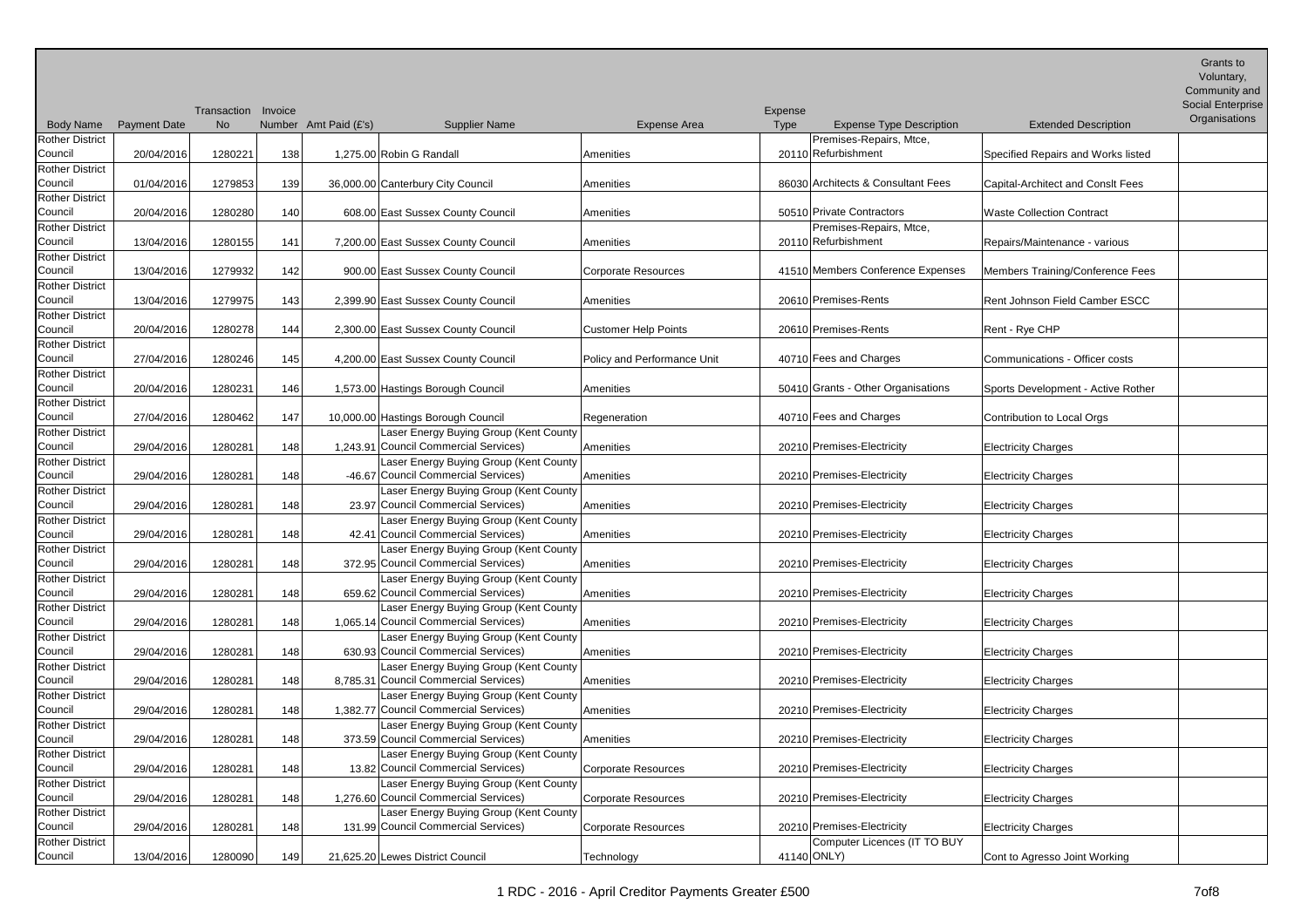| <b>Body Name</b>                  | <b>Payment Date</b> | Transaction Invoice<br><b>No</b> |     | Number Amt Paid (£'s)<br><b>Supplier Name</b>                                   | Expense Area                | Expense<br>Type | <b>Expense Type Description</b>    | <b>Extended Description</b>        | Grants to<br>Voluntary,<br>Community and<br>Social Enterprise<br>Organisations |
|-----------------------------------|---------------------|----------------------------------|-----|---------------------------------------------------------------------------------|-----------------------------|-----------------|------------------------------------|------------------------------------|--------------------------------------------------------------------------------|
| <b>Rother District</b>            |                     |                                  |     |                                                                                 |                             |                 | Premises-Repairs, Mtce,            |                                    |                                                                                |
| Council<br><b>Rother District</b> | 20/04/2016          | 1280221                          | 138 | 1,275.00 Robin G Randall                                                        | Amenities                   |                 | 20110 Refurbishment                | Specified Repairs and Works listed |                                                                                |
| Council                           | 01/04/2016          | 1279853                          | 139 | 36,000.00 Canterbury City Council                                               | Amenities                   |                 | 86030 Architects & Consultant Fees | Capital-Architect and Conslt Fees  |                                                                                |
| <b>Rother District</b><br>Council |                     |                                  |     |                                                                                 |                             |                 | 50510 Private Contractors          |                                    |                                                                                |
| <b>Rother District</b>            | 20/04/2016          | 1280280                          | 140 | 608.00 East Sussex County Council                                               | Amenities                   |                 | Premises-Repairs, Mtce,            | <b>Waste Collection Contract</b>   |                                                                                |
| Council                           | 13/04/2016          | 1280155                          | 141 | 7,200.00 East Sussex County Council                                             | Amenities                   |                 | 20110 Refurbishment                | Repairs/Maintenance - various      |                                                                                |
| <b>Rother District</b>            |                     |                                  |     |                                                                                 |                             |                 |                                    |                                    |                                                                                |
| Council<br>Rother District        | 13/04/2016          | 1279932                          | 142 | 900.00 East Sussex County Council                                               | <b>Corporate Resources</b>  |                 | 41510 Members Conference Expenses  | Members Training/Conference Fees   |                                                                                |
| Council                           | 13/04/2016          | 1279975                          | 143 | 2,399.90 East Sussex County Council                                             | Amenities                   |                 | 20610 Premises-Rents               | Rent Johnson Field Camber ESCC     |                                                                                |
| <b>Rother District</b>            |                     |                                  |     |                                                                                 |                             |                 |                                    |                                    |                                                                                |
| Council<br><b>Rother District</b> | 20/04/2016          | 1280278                          | 144 | 2,300.00 East Sussex County Council                                             | <b>Customer Help Points</b> |                 | 20610 Premises-Rents               | Rent - Rye CHP                     |                                                                                |
| Council                           | 27/04/2016          | 1280246                          | 145 | 4,200.00 East Sussex County Council                                             | Policy and Performance Unit |                 | 40710 Fees and Charges             | Communications - Officer costs     |                                                                                |
| <b>Rother District</b><br>Council | 20/04/2016          | 1280231                          | 146 | 1,573.00 Hastings Borough Council                                               | Amenities                   |                 | 50410 Grants - Other Organisations | Sports Development - Active Rother |                                                                                |
| <b>Rother District</b>            |                     |                                  |     |                                                                                 |                             |                 |                                    |                                    |                                                                                |
| Council                           | 27/04/2016          | 1280462                          | 147 | 10,000.00 Hastings Borough Council                                              | Regeneration                |                 | 40710 Fees and Charges             | Contribution to Local Orgs         |                                                                                |
| <b>Rother District</b><br>Council |                     |                                  |     | Laser Energy Buying Group (Kent County<br>1,243.91 Council Commercial Services) |                             |                 | 20210 Premises-Electricity         |                                    |                                                                                |
| <b>Rother District</b>            | 29/04/2016          | 1280281                          | 148 | Laser Energy Buying Group (Kent County                                          | Amenities                   |                 |                                    | <b>Electricity Charges</b>         |                                                                                |
| Council                           | 29/04/2016          | 1280281                          | 148 | -46.67 Council Commercial Services)                                             | Amenities                   |                 | 20210 Premises-Electricity         | <b>Electricity Charges</b>         |                                                                                |
| <b>Rother District</b><br>Council | 29/04/2016          | 1280281                          | 148 | Laser Energy Buying Group (Kent County<br>23.97 Council Commercial Services)    | Amenities                   |                 | 20210 Premises-Electricity         | <b>Electricity Charges</b>         |                                                                                |
| Rother District                   |                     |                                  |     | Laser Energy Buying Group (Kent County                                          |                             |                 |                                    |                                    |                                                                                |
| Council                           | 29/04/2016          | 1280281                          | 148 | 42.41 Council Commercial Services)                                              | Amenities                   |                 | 20210 Premises-Electricity         | <b>Electricity Charges</b>         |                                                                                |
| <b>Rother District</b><br>Council | 29/04/2016          | 1280281                          | 148 | Laser Energy Buying Group (Kent County<br>372.95 Council Commercial Services)   | Amenities                   |                 | 20210 Premises-Electricity         | <b>Electricity Charges</b>         |                                                                                |
| Rother District                   |                     |                                  |     | Laser Energy Buying Group (Kent County                                          |                             |                 |                                    |                                    |                                                                                |
| Council                           | 29/04/2016          | 1280281                          | 148 | 659.62 Council Commercial Services)                                             | Amenities                   |                 | 20210 Premises-Electricity         | <b>Electricity Charges</b>         |                                                                                |
| <b>Rother District</b><br>Council | 29/04/2016          | 1280281                          | 148 | Laser Energy Buying Group (Kent County<br>1,065.14 Council Commercial Services) | Amenities                   |                 | 20210 Premises-Electricity         | <b>Electricity Charges</b>         |                                                                                |
| <b>Rother District</b>            |                     |                                  |     | Laser Energy Buying Group (Kent County                                          |                             |                 |                                    |                                    |                                                                                |
| Council<br>Rother District        | 29/04/2016          | 1280281                          | 148 | 630.93 Council Commercial Services)<br>Laser Energy Buying Group (Kent County   | Amenities                   |                 | 20210 Premises-Electricity         | <b>Electricity Charges</b>         |                                                                                |
| Council                           | 29/04/2016          | 1280281                          | 148 | 8,785.31 Council Commercial Services)                                           | Amenities                   |                 | 20210 Premises-Electricity         | <b>Electricity Charges</b>         |                                                                                |
| Rother District<br>Council        |                     | 1280281                          |     | Laser Energy Buying Group (Kent County<br>1,382.77 Council Commercial Services) |                             |                 | 20210 Premises-Electricity         |                                    |                                                                                |
| <b>Rother District</b>            | 29/04/2016          |                                  | 148 | Laser Energy Buying Group (Kent County                                          | Amenities                   |                 |                                    | <b>Electricity Charges</b>         |                                                                                |
| Council                           | 29/04/2016          | 1280281                          | 148 | 373.59 Council Commercial Services)                                             | Amenities                   |                 | 20210 Premises-Electricity         | <b>Electricity Charges</b>         |                                                                                |
| Rother District<br>Council        | 29/04/2016          | 1280281                          | 148 | Laser Energy Buying Group (Kent County<br>13.82 Council Commercial Services)    | <b>Corporate Resources</b>  |                 | 20210 Premises-Electricity         | <b>Electricity Charges</b>         |                                                                                |
| <b>Rother District</b>            |                     |                                  |     | Laser Energy Buying Group (Kent County                                          |                             |                 |                                    |                                    |                                                                                |
| Council                           | 29/04/2016          | 1280281                          | 148 | 1,276.60 Council Commercial Services)                                           | <b>Corporate Resources</b>  |                 | 20210 Premises-Electricity         | <b>Electricity Charges</b>         |                                                                                |
| <b>Rother District</b><br>Council | 29/04/2016          | 1280281                          | 148 | Laser Energy Buying Group (Kent County<br>131.99 Council Commercial Services)   | <b>Corporate Resources</b>  |                 | 20210 Premises-Electricity         | <b>Electricity Charges</b>         |                                                                                |
| Rother District                   |                     |                                  |     |                                                                                 |                             |                 | Computer Licences (IT TO BUY       |                                    |                                                                                |
| Council                           | 13/04/2016          | 1280090                          | 149 | 21,625.20 Lewes District Council                                                | Technology                  |                 | 41140 ONLY)                        | Cont to Agresso Joint Working      |                                                                                |